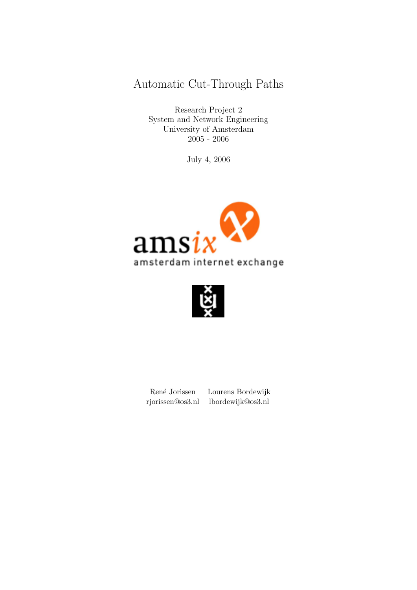Automatic Cut-Through Paths

Research Project 2 System and Network Engineering University of Amsterdam 2005 - 2006

July 4, 2006





Ren´e Jorissen Lourens Bordewijk rjorissen@os3.nl lbordewijk@os3.nl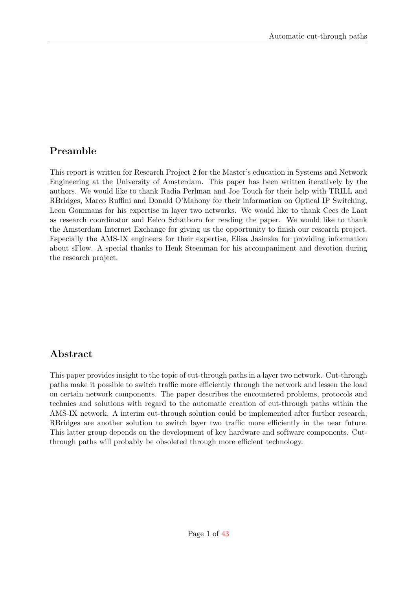# Preamble

This report is written for Research Project 2 for the Master's education in Systems and Network Engineering at the University of Amsterdam. This paper has been written iteratively by the authors. We would like to thank Radia Perlman and Joe Touch for their help with TRILL and RBridges, Marco Ruffini and Donald O'Mahony for their information on Optical IP Switching, Leon Gommans for his expertise in layer two networks. We would like to thank Cees de Laat as research coordinator and Eelco Schatborn for reading the paper. We would like to thank the Amsterdam Internet Exchange for giving us the opportunity to finish our research project. Especially the AMS-IX engineers for their expertise, Elisa Jasinska for providing information about sFlow. A special thanks to Henk Steenman for his accompaniment and devotion during the research project.

## Abstract

This paper provides insight to the topic of cut-through paths in a layer two network. Cut-through paths make it possible to switch traffic more efficiently through the network and lessen the load on certain network components. The paper describes the encountered problems, protocols and technics and solutions with regard to the automatic creation of cut-through paths within the AMS-IX network. A interim cut-through solution could be implemented after further research, RBridges are another solution to switch layer two traffic more efficiently in the near future. This latter group depends on the development of key hardware and software components. Cutthrough paths will probably be obsoleted through more efficient technology.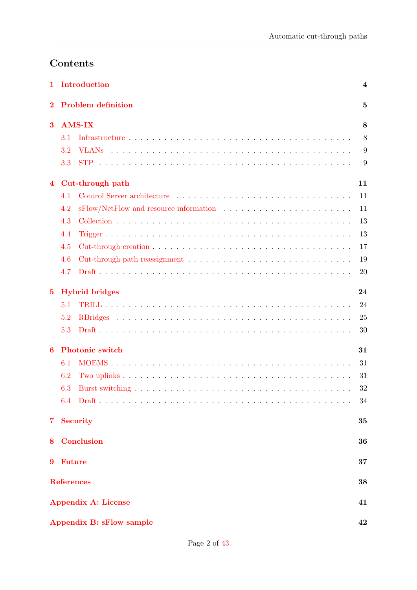# Contents

| 1              | Introduction                                                                                       | $\overline{\mathbf{4}}$ |
|----------------|----------------------------------------------------------------------------------------------------|-------------------------|
| $\bf{2}$       | <b>Problem definition</b>                                                                          | $\mathbf{5}$            |
| 3              | <b>AMS-IX</b>                                                                                      | 8                       |
|                | 3.1                                                                                                | 8                       |
|                | 3.2                                                                                                | 9                       |
|                | 3.3                                                                                                | 9                       |
| $\overline{4}$ | Cut-through path                                                                                   | 11                      |
|                | 4.1                                                                                                | 11                      |
|                | $sFlow/NetFlow$ and resource information $\ldots \ldots \ldots \ldots \ldots \ldots \ldots$<br>4.2 | 11                      |
|                | 4.3                                                                                                | 13                      |
|                | 4.4                                                                                                | 13                      |
|                | 4.5                                                                                                | 17                      |
|                | 4.6                                                                                                | 19                      |
|                | 4.7                                                                                                | 20                      |
| $5\phantom{.}$ | <b>Hybrid bridges</b>                                                                              | 24                      |
|                | 5.1                                                                                                | 24                      |
|                | 5.2                                                                                                | 25                      |
|                | 5.3                                                                                                | 30                      |
| 6              | <b>Photonic switch</b>                                                                             | 31                      |
|                | 6.1                                                                                                | 31                      |
|                | 6.2                                                                                                | 31                      |
|                | 6.3                                                                                                | 32                      |
|                |                                                                                                    | 34                      |
| 7 <sup>1</sup> | <b>Security</b>                                                                                    | 35                      |
| 8              | Conclusion                                                                                         | 36                      |
| 9              | <b>Future</b>                                                                                      | 37                      |
|                | <b>References</b>                                                                                  | 38                      |
|                | <b>Appendix A: License</b>                                                                         | 41                      |
|                | <b>Appendix B: sFlow sample</b>                                                                    | 42                      |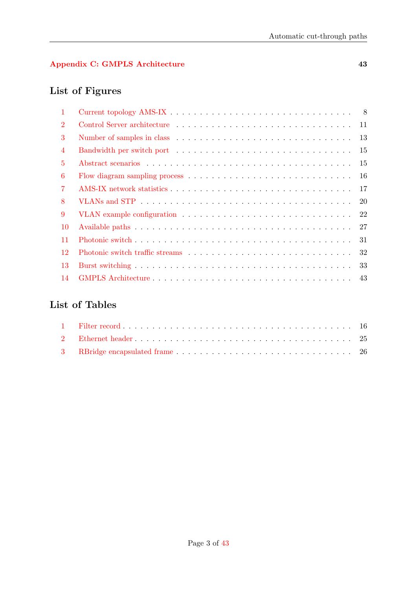## [Appendix C: GMPLS Architecture](#page-43-1) 43

# List of Figures

| $\mathbf{1}$   |     |
|----------------|-----|
| $\overline{2}$ |     |
| 3              |     |
| $\overline{4}$ | 15  |
| $5^{\circ}$    | -15 |
| 6              | -16 |
| $\overline{7}$ | 17  |
| 8              | 20  |
| 9              | 22  |
| $10\,$         | 27  |
| -11            | 31  |
| -12            | 32  |
| -13            | 33  |
| <sup>14</sup>  |     |

# List of Tables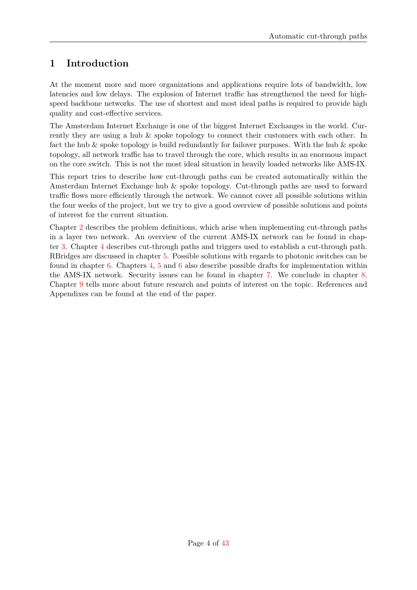# <span id="page-4-0"></span>1 Introduction

At the moment more and more organizations and applications require lots of bandwidth, low latencies and low delays. The explosion of Internet traffic has strengthened the need for highspeed backbone networks. The use of shortest and most ideal paths is required to provide high quality and cost-effective services.

The Amsterdam Internet Exchange is one of the biggest Internet Exchanges in the world. Currently they are using a hub & spoke topology to connect their customers with each other. In fact the hub & spoke topology is build redundantly for failover purposes. With the hub & spoke topology, all network traffic has to travel through the core, which results in an enormous impact on the core switch. This is not the most ideal situation in heavily loaded networks like AMS-IX.

This report tries to describe how cut-through paths can be created automatically within the Amsterdam Internet Exchange hub & spoke topology. Cut-through paths are used to forward traffic flows more efficiently through the network. We cannot cover all possible solutions within the four weeks of the project, but we try to give a good overview of possible solutions and points of interest for the current situation.

Chapter [2](#page-5-0) describes the problem definitions, which arise when implementing cut-through paths in a layer two network. An overview of the current AMS-IX network can be found in chapter [3.](#page-8-0) Chapter [4](#page-11-0) describes cut-through paths and triggers used to establish a cut-through path. RBridges are discussed in chapter [5.](#page-24-0) Possible solutions with regards to photonic switches can be found in chapter [6.](#page-31-0) Chapters [4,](#page-11-0) [5](#page-24-0) and [6](#page-31-0) also describe possible drafts for implementation within the AMS-IX network. Security issues can be found in chapter [7.](#page-35-0) We conclude in chapter [8.](#page-36-0) Chapter [9](#page-37-0) tells more about future research and points of interest on the topic. References and Appendixes can be found at the end of the paper.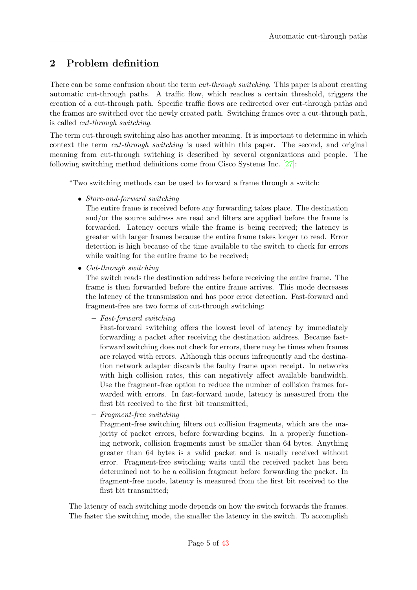# <span id="page-5-0"></span>2 Problem definition

There can be some confusion about the term *cut-through switching*. This paper is about creating automatic cut-through paths. A traffic flow, which reaches a certain threshold, triggers the creation of a cut-through path. Specific traffic flows are redirected over cut-through paths and the frames are switched over the newly created path. Switching frames over a cut-through path, is called cut-through switching.

The term cut-through switching also has another meaning. It is important to determine in which context the term cut-through switching is used within this paper. The second, and original meaning from cut-through switching is described by several organizations and people. The following switching method definitions come from Cisco Systems Inc. [\[27\]](#page-39-0):

"Two switching methods can be used to forward a frame through a switch:

• Store-and-forward switching

The entire frame is received before any forwarding takes place. The destination and/or the source address are read and filters are applied before the frame is forwarded. Latency occurs while the frame is being received; the latency is greater with larger frames because the entire frame takes longer to read. Error detection is high because of the time available to the switch to check for errors while waiting for the entire frame to be received;

• Cut-through switching

The switch reads the destination address before receiving the entire frame. The frame is then forwarded before the entire frame arrives. This mode decreases the latency of the transmission and has poor error detection. Fast-forward and fragment-free are two forms of cut-through switching:

– Fast-forward switching

Fast-forward switching offers the lowest level of latency by immediately forwarding a packet after receiving the destination address. Because fastforward switching does not check for errors, there may be times when frames are relayed with errors. Although this occurs infrequently and the destination network adapter discards the faulty frame upon receipt. In networks with high collision rates, this can negatively affect available bandwidth. Use the fragment-free option to reduce the number of collision frames forwarded with errors. In fast-forward mode, latency is measured from the first bit received to the first bit transmitted;

– Fragment-free switching

Fragment-free switching filters out collision fragments, which are the majority of packet errors, before forwarding begins. In a properly functioning network, collision fragments must be smaller than 64 bytes. Anything greater than 64 bytes is a valid packet and is usually received without error. Fragment-free switching waits until the received packet has been determined not to be a collision fragment before forwarding the packet. In fragment-free mode, latency is measured from the first bit received to the first bit transmitted;

The latency of each switching mode depends on how the switch forwards the frames. The faster the switching mode, the smaller the latency in the switch. To accomplish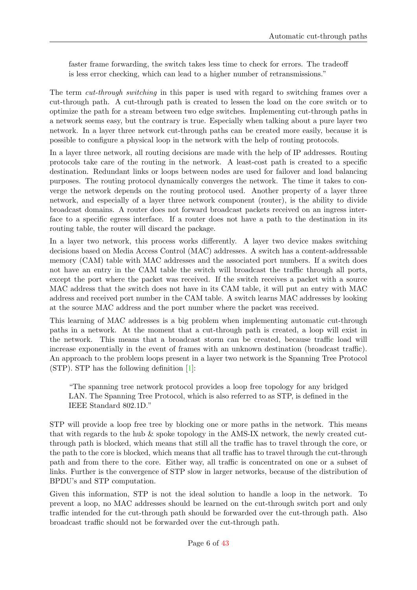faster frame forwarding, the switch takes less time to check for errors. The tradeoff is less error checking, which can lead to a higher number of retransmissions."

The term *cut-through switching* in this paper is used with regard to switching frames over a cut-through path. A cut-through path is created to lessen the load on the core switch or to optimize the path for a stream between two edge switches. Implementing cut-through paths in a network seems easy, but the contrary is true. Especially when talking about a pure layer two network. In a layer three network cut-through paths can be created more easily, because it is possible to configure a physical loop in the network with the help of routing protocols.

In a layer three network, all routing decisions are made with the help of IP addresses. Routing protocols take care of the routing in the network. A least-cost path is created to a specific destination. Redundant links or loops between nodes are used for failover and load balancing purposes. The routing protocol dynamically converges the network. The time it takes to converge the network depends on the routing protocol used. Another property of a layer three network, and especially of a layer three network component (router), is the ability to divide broadcast domains. A router does not forward broadcast packets received on an ingress interface to a specific egress interface. If a router does not have a path to the destination in its routing table, the router will discard the package.

In a layer two network, this process works differently. A layer two device makes switching decisions based on Media Access Control (MAC) addresses. A switch has a content-addressable memory (CAM) table with MAC addresses and the associated port numbers. If a switch does not have an entry in the CAM table the switch will broadcast the traffic through all ports, except the port where the packet was received. If the switch receives a packet with a source MAC address that the switch does not have in its CAM table, it will put an entry with MAC address and received port number in the CAM table. A switch learns MAC addresses by looking at the source MAC address and the port number where the packet was received.

This learning of MAC addresses is a big problem when implementing automatic cut-through paths in a network. At the moment that a cut-through path is created, a loop will exist in the network. This means that a broadcast storm can be created, because traffic load will increase exponentially in the event of frames with an unknown destination (broadcast traffic). An approach to the problem loops present in a layer two network is the Spanning Tree Protocol (STP). STP has the following definition [\[1\]](#page-38-1):

"The spanning tree network protocol provides a loop free topology for any bridged LAN. The Spanning Tree Protocol, which is also referred to as STP, is defined in the IEEE Standard 802.1D."

STP will provide a loop free tree by blocking one or more paths in the network. This means that with regards to the hub  $\&$  spoke topology in the AMS-IX network, the newly created cutthrough path is blocked, which means that still all the traffic has to travel through the core, or the path to the core is blocked, which means that all traffic has to travel through the cut-through path and from there to the core. Either way, all traffic is concentrated on one or a subset of links. Further is the convergence of STP slow in larger networks, because of the distribution of BPDU's and STP computation.

Given this information, STP is not the ideal solution to handle a loop in the network. To prevent a loop, no MAC addresses should be learned on the cut-through switch port and only traffic intended for the cut-through path should be forwarded over the cut-through path. Also broadcast traffic should not be forwarded over the cut-through path.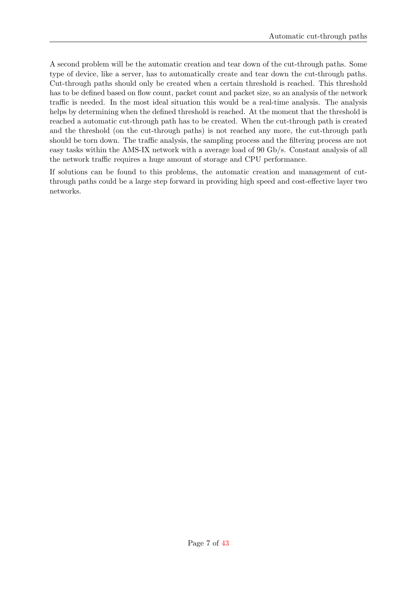A second problem will be the automatic creation and tear down of the cut-through paths. Some type of device, like a server, has to automatically create and tear down the cut-through paths. Cut-through paths should only be created when a certain threshold is reached. This threshold has to be defined based on flow count, packet count and packet size, so an analysis of the network traffic is needed. In the most ideal situation this would be a real-time analysis. The analysis helps by determining when the defined threshold is reached. At the moment that the threshold is reached a automatic cut-through path has to be created. When the cut-through path is created and the threshold (on the cut-through paths) is not reached any more, the cut-through path should be torn down. The traffic analysis, the sampling process and the filtering process are not easy tasks within the AMS-IX network with a average load of 90 Gb/s. Constant analysis of all the network traffic requires a huge amount of storage and CPU performance.

If solutions can be found to this problems, the automatic creation and management of cutthrough paths could be a large step forward in providing high speed and cost-effective layer two networks.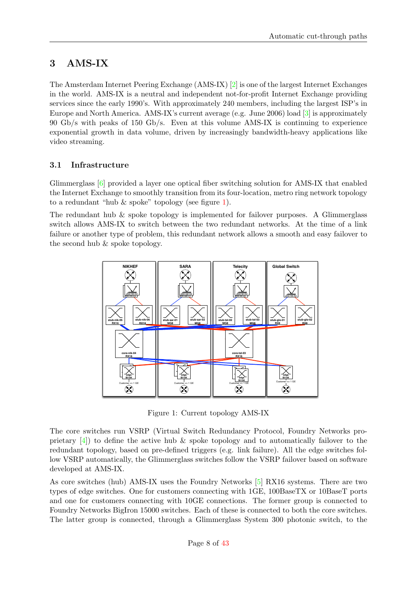## <span id="page-8-0"></span>3 AMS-IX

The Amsterdam Internet Peering Exchange (AMS-IX) [\[2\]](#page-38-2) is one of the largest Internet Exchanges in the world. AMS-IX is a neutral and independent not-for-profit Internet Exchange providing services since the early 1990's. With approximately 240 members, including the largest ISP's in Europe and North America. AMS-IX's current average (e.g. June 2006) load [\[3\]](#page-38-3) is approximately 90 Gb/s with peaks of 150 Gb/s. Even at this volume AMS-IX is continuing to experience exponential growth in data volume, driven by increasingly bandwidth-heavy applications like video streaming.

#### <span id="page-8-1"></span>3.1 Infrastructure

Glimmerglass [\[6\]](#page-38-4) provided a layer one optical fiber switching solution for AMS-IX that enabled the Internet Exchange to smoothly transition from its four-location, metro ring network topology to a redundant "hub & spoke" topology (see figure [1\)](#page-8-2).

The redundant hub  $\&$  spoke topology is implemented for failover purposes. A Glimmerglass switch allows AMS-IX to switch between the two redundant networks. At the time of a link failure or another type of problem, this redundant network allows a smooth and easy failover to the second hub & spoke topology.



<span id="page-8-2"></span>Figure 1: Current topology AMS-IX

The core switches run VSRP (Virtual Switch Redundancy Protocol, Foundry Networks pro-prietary [\[4\]](#page-38-5)) to define the active hub & spoke topology and to automatically failover to the redundant topology, based on pre-defined triggers (e.g. link failure). All the edge switches follow VSRP automatically, the Glimmerglass switches follow the VSRP failover based on software developed at AMS-IX.

As core switches (hub) AMS-IX uses the Foundry Networks [\[5\]](#page-38-6) RX16 systems. There are two types of edge switches. One for customers connecting with 1GE, 100BaseTX or 10BaseT ports and one for customers connecting with 10GE connections. The former group is connected to Foundry Networks BigIron 15000 switches. Each of these is connected to both the core switches. The latter group is connected, through a Glimmerglass System 300 photonic switch, to the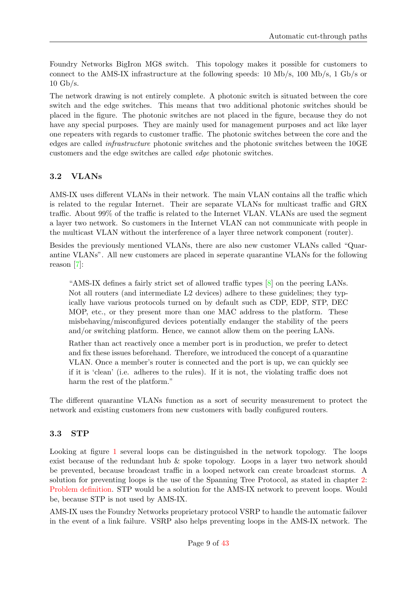Foundry Networks BigIron MG8 switch. This topology makes it possible for customers to connect to the AMS-IX infrastructure at the following speeds: 10 Mb/s, 100 Mb/s, 1 Gb/s or 10 Gb/s.

The network drawing is not entirely complete. A photonic switch is situated between the core switch and the edge switches. This means that two additional photonic switches should be placed in the figure. The photonic switches are not placed in the figure, because they do not have any special purposes. They are mainly used for management purposes and act like layer one repeaters with regards to customer traffic. The photonic switches between the core and the edges are called infrastructure photonic switches and the photonic switches between the 10GE customers and the edge switches are called edge photonic switches.

## <span id="page-9-0"></span>3.2 VLANs

AMS-IX uses different VLANs in their network. The main VLAN contains all the traffic which is related to the regular Internet. Their are separate VLANs for multicast traffic and GRX traffic. About 99% of the traffic is related to the Internet VLAN. VLANs are used the segment a layer two network. So customers in the Internet VLAN can not communicate with people in the multicast VLAN without the interference of a layer three network component (router).

Besides the previously mentioned VLANs, there are also new customer VLANs called "Quarantine VLANs". All new customers are placed in seperate quarantine VLANs for the following reason [\[7\]](#page-38-7):

"AMS-IX defines a fairly strict set of allowed traffic types [\[8\]](#page-38-8) on the peering LANs. Not all routers (and intermediate L2 devices) adhere to these guidelines; they typically have various protocols turned on by default such as CDP, EDP, STP, DEC MOP, etc., or they present more than one MAC address to the platform. These misbehaving/misconfigured devices potentially endanger the stability of the peers and/or switching platform. Hence, we cannot allow them on the peering LANs.

Rather than act reactively once a member port is in production, we prefer to detect and fix these issues beforehand. Therefore, we introduced the concept of a quarantine VLAN. Once a member's router is connected and the port is up, we can quickly see if it is 'clean' (i.e. adheres to the rules). If it is not, the violating traffic does not harm the rest of the platform."

The different quarantine VLANs function as a sort of security measurement to protect the network and existing customers from new customers with badly configured routers.

#### <span id="page-9-1"></span>3.3 STP

Looking at figure [1](#page-8-2) several loops can be distinguished in the network topology. The loops exist because of the redundant hub & spoke topology. Loops in a layer two network should be prevented, because broadcast traffic in a looped network can create broadcast storms. A solution for preventing loops is the use of the Spanning Tree Protocol, as stated in chapter [2:](#page-5-0) [Problem definition.](#page-5-0) STP would be a solution for the AMS-IX network to prevent loops. Would be, because STP is not used by AMS-IX.

AMS-IX uses the Foundry Networks proprietary protocol VSRP to handle the automatic failover in the event of a link failure. VSRP also helps preventing loops in the AMS-IX network. The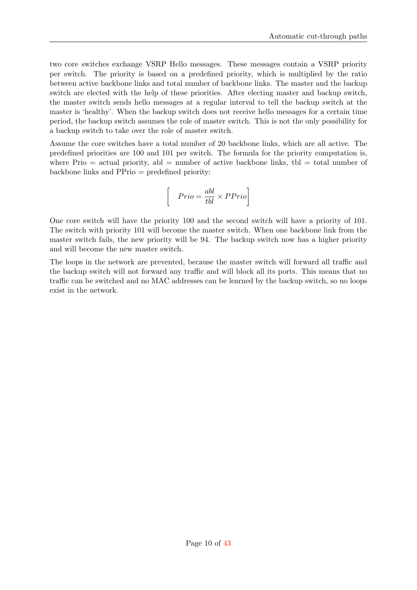two core switches exchange VSRP Hello messages. These messages contain a VSRP priority per switch. The priority is based on a predefined priority, which is multiplied by the ratio between active backbone links and total number of backbone links. The master and the backup switch are elected with the help of these priorities. After electing master and backup switch, the master switch sends hello messages at a regular interval to tell the backup switch at the master is 'healthy'. When the backup switch does not receive hello messages for a certain time period, the backup switch assumes the role of master switch. This is not the only possibility for a backup switch to take over the role of master switch.

Assume the core switches have a total number of 20 backbone links, which are all active. The predefined priorities are 100 and 101 per switch. The formula for the priority computation is, where Prio  $=$  actual priority, abl  $=$  number of active backbone links, tbl  $=$  total number of backbone links and PPrio = predefined priority:

$$
\left[\begin{array}{c} \textit{Prio}=\frac{abl}{tbl}\times \textit{PPrio} \end{array}\right]
$$

One core switch will have the priority 100 and the second switch will have a priority of 101. The switch with priority 101 will become the master switch. When one backbone link from the master switch fails, the new priority will be 94. The backup switch now has a higher priority and will become the new master switch.

The loops in the network are prevented, because the master switch will forward all traffic and the backup switch will not forward any traffic and will block all its ports. This means that no traffic can be switched and no MAC addresses can be learned by the backup switch, so no loops exist in the network.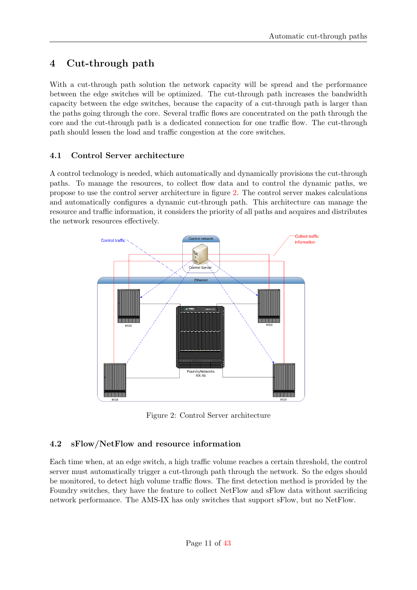## <span id="page-11-0"></span>4 Cut-through path

With a cut-through path solution the network capacity will be spread and the performance between the edge switches will be optimized. The cut-through path increases the bandwidth capacity between the edge switches, because the capacity of a cut-through path is larger than the paths going through the core. Several traffic flows are concentrated on the path through the core and the cut-through path is a dedicated connection for one traffic flow. The cut-through path should lessen the load and traffic congestion at the core switches.

#### <span id="page-11-1"></span>4.1 Control Server architecture

A control technology is needed, which automatically and dynamically provisions the cut-through paths. To manage the resources, to collect flow data and to control the dynamic paths, we propose to use the control server architecture in figure [2.](#page-11-3) The control server makes calculations and automatically configures a dynamic cut-through path. This architecture can manage the resource and traffic information, it considers the priority of all paths and acquires and distributes the network resources effectively.



<span id="page-11-3"></span>Figure 2: Control Server architecture

#### <span id="page-11-2"></span>4.2 sFlow/NetFlow and resource information

Each time when, at an edge switch, a high traffic volume reaches a certain threshold, the control server must automatically trigger a cut-through path through the network. So the edges should be monitored, to detect high volume traffic flows. The first detection method is provided by the Foundry switches, they have the feature to collect NetFlow and sFlow data without sacrificing network performance. The AMS-IX has only switches that support sFlow, but no NetFlow.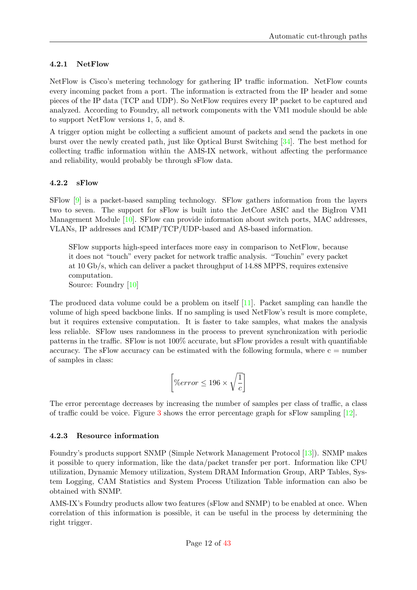#### 4.2.1 NetFlow

NetFlow is Cisco's metering technology for gathering IP traffic information. NetFlow counts every incoming packet from a port. The information is extracted from the IP header and some pieces of the IP data (TCP and UDP). So NetFlow requires every IP packet to be captured and analyzed. According to Foundry, all network components with the VM1 module should be able to support NetFlow versions 1, 5, and 8.

A trigger option might be collecting a sufficient amount of packets and send the packets in one burst over the newly created path, just like Optical Burst Switching [\[34\]](#page-40-0). The best method for collecting traffic information within the AMS-IX network, without affecting the performance and reliability, would probably be through sFlow data.

#### 4.2.2 sFlow

SFlow [\[9\]](#page-38-9) is a packet-based sampling technology. SFlow gathers information from the layers two to seven. The support for sFlow is built into the JetCore ASIC and the BigIron VM1 Management Module [\[10\]](#page-38-10). SFlow can provide information about switch ports, MAC addresses, VLANs, IP addresses and ICMP/TCP/UDP-based and AS-based information.

SFlow supports high-speed interfaces more easy in comparison to NetFlow, because it does not "touch" every packet for network traffic analysis. "Touchin" every packet at 10 Gb/s, which can deliver a packet throughput of 14.88 MPPS, requires extensive computation.

Source: Foundry [\[10\]](#page-38-10)

The produced data volume could be a problem on itself [\[11\]](#page-38-11). Packet sampling can handle the volume of high speed backbone links. If no sampling is used NetFlow's result is more complete, but it requires extensive computation. It is faster to take samples, what makes the analysis less reliable. SFlow uses randomness in the process to prevent synchronization with periodic patterns in the traffic. SFlow is not 100% accurate, but sFlow provides a result with quantifiable accuracy. The sFlow accuracy can be estimated with the following formula, where  $c =$  number of samples in class:

$$
\left[\%error\leq196\times\sqrt{\frac{1}{c}}\right]
$$

The error percentage decreases by increasing the number of samples per class of traffic, a class of traffic could be voice. Figure [3](#page-13-2) shows the error percentage graph for sFlow sampling  $[12]$ .

#### 4.2.3 Resource information

Foundry's products support SNMP (Simple Network Management Protocol [\[13\]](#page-38-13)). SNMP makes it possible to query information, like the data/packet transfer per port. Information like CPU utilization, Dynamic Memory utilization, System DRAM Information Group, ARP Tables, System Logging, CAM Statistics and System Process Utilization Table information can also be obtained with SNMP.

AMS-IX's Foundry products allow two features (sFlow and SNMP) to be enabled at once. When correlation of this information is possible, it can be useful in the process by determining the right trigger.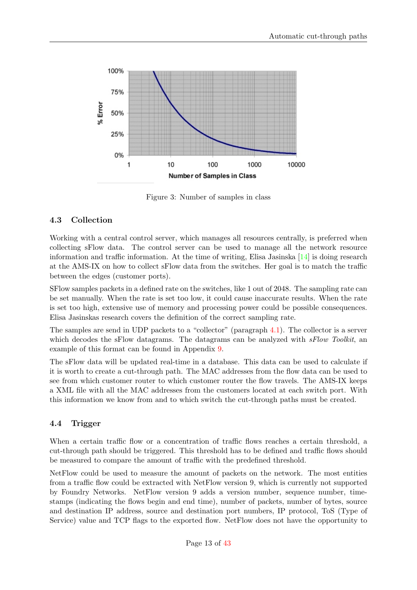

<span id="page-13-2"></span>Figure 3: Number of samples in class

#### <span id="page-13-0"></span>4.3 Collection

Working with a central control server, which manages all resources centrally, is preferred when collecting sFlow data. The control server can be used to manage all the network resource information and traffic information. At the time of writing, Elisa Jasinska [\[14\]](#page-38-14) is doing research at the AMS-IX on how to collect sFlow data from the switches. Her goal is to match the traffic between the edges (customer ports).

SFlow samples packets in a defined rate on the switches, like 1 out of 2048. The sampling rate can be set manually. When the rate is set too low, it could cause inaccurate results. When the rate is set too high, extensive use of memory and processing power could be possible consequences. Elisa Jasinskas research covers the definition of the correct sampling rate.

The samples are send in UDP packets to a "collector" (paragraph [4.1\)](#page-11-1). The collector is a server which decodes the sFlow datagrams. The datagrams can be analyzed with *sFlow Toolkit*, an example of this format can be found in Appendix [9.](#page-42-0)

The sFlow data will be updated real-time in a database. This data can be used to calculate if it is worth to create a cut-through path. The MAC addresses from the flow data can be used to see from which customer router to which customer router the flow travels. The AMS-IX keeps a XML file with all the MAC addresses from the customers located at each switch port. With this information we know from and to which switch the cut-through paths must be created.

#### <span id="page-13-1"></span>4.4 Trigger

When a certain traffic flow or a concentration of traffic flows reaches a certain threshold, a cut-through path should be triggered. This threshold has to be defined and traffic flows should be measured to compare the amount of traffic with the predefined threshold.

NetFlow could be used to measure the amount of packets on the network. The most entities from a traffic flow could be extracted with NetFlow version 9, which is currently not supported by Foundry Networks. NetFlow version 9 adds a version number, sequence number, timestamps (indicating the flows begin and end time), number of packets, number of bytes, source and destination IP address, source and destination port numbers, IP protocol, ToS (Type of Service) value and TCP flags to the exported flow. NetFlow does not have the opportunity to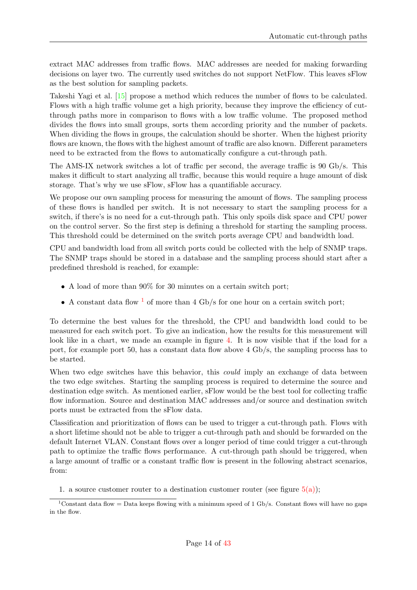extract MAC addresses from traffic flows. MAC addresses are needed for making forwarding decisions on layer two. The currently used switches do not support NetFlow. This leaves sFlow as the best solution for sampling packets.

Takeshi Yagi et al. [\[15\]](#page-38-15) propose a method which reduces the number of flows to be calculated. Flows with a high traffic volume get a high priority, because they improve the efficiency of cutthrough paths more in comparison to flows with a low traffic volume. The proposed method divides the flows into small groups, sorts them according priority and the number of packets. When dividing the flows in groups, the calculation should be shorter. When the highest priority flows are known, the flows with the highest amount of traffic are also known. Different parameters need to be extracted from the flows to automatically configure a cut-through path.

The AMS-IX network switches a lot of traffic per second, the average traffic is 90 Gb/s. This makes it difficult to start analyzing all traffic, because this would require a huge amount of disk storage. That's why we use sFlow, sFlow has a quantifiable accuracy.

We propose our own sampling process for measuring the amount of flows. The sampling process of these flows is handled per switch. It is not necessary to start the sampling process for a switch, if there's is no need for a cut-through path. This only spoils disk space and CPU power on the control server. So the first step is defining a threshold for starting the sampling process. This threshold could be determined on the switch ports average CPU and bandwidth load.

CPU and bandwidth load from all switch ports could be collected with the help of SNMP traps. The SNMP traps should be stored in a database and the sampling process should start after a predefined threshold is reached, for example:

- A load of more than 90% for 30 minutes on a certain switch port;
- A constant data flow  $<sup>1</sup>$  $<sup>1</sup>$  $<sup>1</sup>$  of more than 4 Gb/s for one hour on a certain switch port;</sup>

To determine the best values for the threshold, the CPU and bandwidth load could to be measured for each switch port. To give an indication, how the results for this measurement will look like in a chart, we made an example in figure [4.](#page-15-0) It is now visible that if the load for a port, for example port 50, has a constant data flow above 4 Gb/s, the sampling process has to be started.

When two edge switches have this behavior, this *could* imply an exchange of data between the two edge switches. Starting the sampling process is required to determine the source and destination edge switch. As mentioned earlier, sFlow would be the best tool for collecting traffic flow information. Source and destination MAC addresses and/or source and destination switch ports must be extracted from the sFlow data.

Classification and prioritization of flows can be used to trigger a cut-through path. Flows with a short lifetime should not be able to trigger a cut-through path and should be forwarded on the default Internet VLAN. Constant flows over a longer period of time could trigger a cut-through path to optimize the traffic flows performance. A cut-through path should be triggered, when a large amount of traffic or a constant traffic flow is present in the following abstract scenarios, from:

1. a source customer router to a destination customer router (see figure [5\(a\)\)](#page-15-2);

<span id="page-14-0"></span><sup>&</sup>lt;sup>1</sup>Constant data flow = Data keeps flowing with a minimum speed of 1 Gb/s. Constant flows will have no gaps in the flow.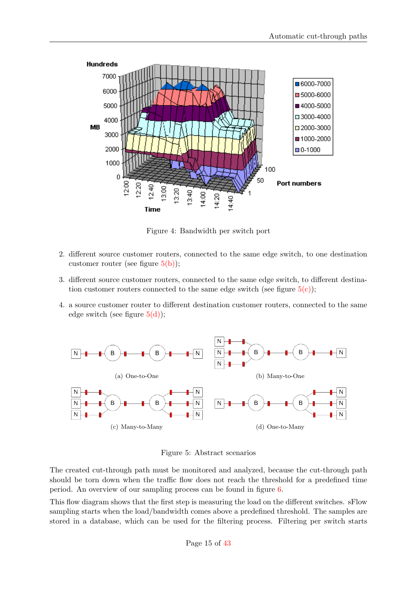

<span id="page-15-0"></span>Figure 4: Bandwidth per switch port

- 2. different source customer routers, connected to the same edge switch, to one destination customer router (see figure  $5(b)$ );
- 3. different source customer routers, connected to the same edge switch, to different destination customer routers connected to the same edge switch (see figure  $5(c)$ );
- 4. a source customer router to different destination customer routers, connected to the same edge switch (see figure  $5(d)$ );

<span id="page-15-2"></span>

<span id="page-15-5"></span><span id="page-15-3"></span><span id="page-15-1"></span>Figure 5: Abstract scenarios

<span id="page-15-4"></span>The created cut-through path must be monitored and analyzed, because the cut-through path should be torn down when the traffic flow does not reach the threshold for a predefined time period. An overview of our sampling process can be found in figure [6.](#page-16-0)

This flow diagram shows that the first step is measuring the load on the different switches. sFlow sampling starts when the load/bandwidth comes above a predefined threshold. The samples are stored in a database, which can be used for the filtering process. Filtering per switch starts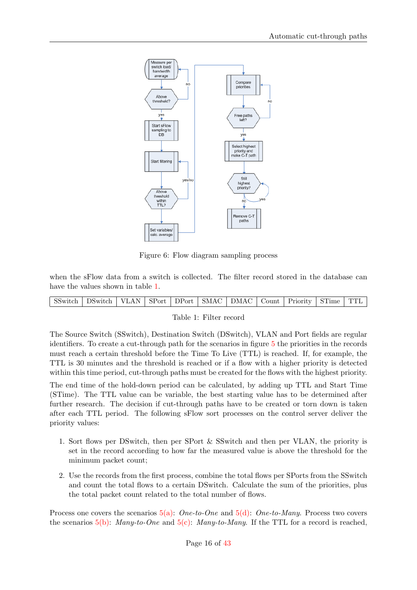

<span id="page-16-0"></span>Figure 6: Flow diagram sampling process

when the sFlow data from a switch is collected. The filter record stored in the database can have the values shown in table [1.](#page-16-1)

| SSwitch   DSwitch   VLAN   SPort   DPort   SMAC   DMAC   Count   Priority   STime |  |  |  |  | $\perp$ TTL |
|-----------------------------------------------------------------------------------|--|--|--|--|-------------|
|                                                                                   |  |  |  |  |             |

#### <span id="page-16-1"></span>Table 1: Filter record

The Source Switch (SSwitch), Destination Switch (DSwitch), VLAN and Port fields are regular identifiers. To create a cut-through path for the scenarios in figure [5](#page-15-1) the priorities in the records must reach a certain threshold before the Time To Live (TTL) is reached. If, for example, the TTL is 30 minutes and the threshold is reached or if a flow with a higher priority is detected within this time period, cut-through paths must be created for the flows with the highest priority.

The end time of the hold-down period can be calculated, by adding up TTL and Start Time (STime). The TTL value can be variable, the best starting value has to be determined after further research. The decision if cut-through paths have to be created or torn down is taken after each TTL period. The following sFlow sort processes on the control server deliver the priority values:

- 1. Sort flows per DSwitch, then per SPort & SSwitch and then per VLAN, the priority is set in the record according to how far the measured value is above the threshold for the minimum packet count;
- 2. Use the records from the first process, combine the total flows per SPorts from the SSwitch and count the total flows to a certain DSwitch. Calculate the sum of the priorities, plus the total packet count related to the total number of flows.

Process one covers the scenarios  $5(a)$ : One-to-One and  $5(d)$ : One-to-Many. Process two covers the scenarios  $5(b)$ : Many-to-One and  $5(c)$ : Many-to-Many. If the TTL for a record is reached,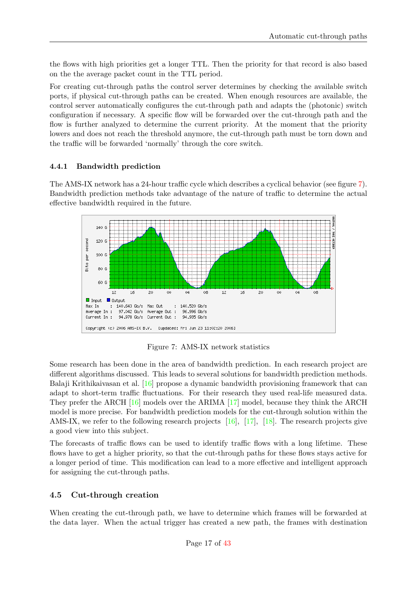the flows with high priorities get a longer TTL. Then the priority for that record is also based on the the average packet count in the TTL period.

For creating cut-through paths the control server determines by checking the available switch ports, if physical cut-through paths can be created. When enough resources are available, the control server automatically configures the cut-through path and adapts the (photonic) switch configuration if necessary. A specific flow will be forwarded over the cut-through path and the flow is further analyzed to determine the current priority. At the moment that the priority lowers and does not reach the threshold anymore, the cut-through path must be torn down and the traffic will be forwarded 'normally' through the core switch.

#### 4.4.1 Bandwidth prediction

The AMS-IX network has a 24-hour traffic cycle which describes a cyclical behavior (see figure [7\)](#page-17-1). Bandwidth prediction methods take advantage of the nature of traffic to determine the actual effective bandwidth required in the future.



<span id="page-17-1"></span>Figure 7: AMS-IX network statistics

Some research has been done in the area of bandwidth prediction. In each research project are different algorithms discussed. This leads to several solutions for bandwidth prediction methods. Balaji Krithikaivasan et al. [\[16\]](#page-38-16) propose a dynamic bandwidth provisioning framework that can adapt to short-term traffic fluctuations. For their research they used real-life measured data. They prefer the ARCH [\[16\]](#page-38-16) models over the ARIMA [\[17\]](#page-39-1) model, because they think the ARCH model is more precise. For bandwidth prediction models for the cut-through solution within the AMS-IX, we refer to the following research projects [\[16\]](#page-38-16), [\[17\]](#page-39-1), [\[18\]](#page-39-2). The research projects give a good view into this subject.

The forecasts of traffic flows can be used to identify traffic flows with a long lifetime. These flows have to get a higher priority, so that the cut-through paths for these flows stays active for a longer period of time. This modification can lead to a more effective and intelligent approach for assigning the cut-through paths.

#### <span id="page-17-0"></span>4.5 Cut-through creation

When creating the cut-through path, we have to determine which frames will be forwarded at the data layer. When the actual trigger has created a new path, the frames with destination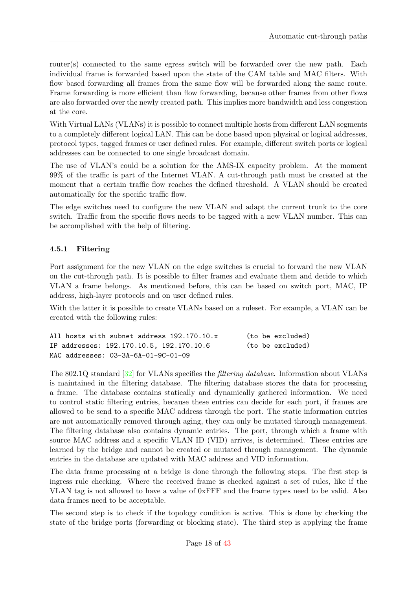router(s) connected to the same egress switch will be forwarded over the new path. Each individual frame is forwarded based upon the state of the CAM table and MAC filters. With flow based forwarding all frames from the same flow will be forwarded along the same route. Frame forwarding is more efficient than flow forwarding, because other frames from other flows are also forwarded over the newly created path. This implies more bandwidth and less congestion at the core.

With Virtual LANs (VLANs) it is possible to connect multiple hosts from different LAN segments to a completely different logical LAN. This can be done based upon physical or logical addresses, protocol types, tagged frames or user defined rules. For example, different switch ports or logical addresses can be connected to one single broadcast domain.

The use of VLAN's could be a solution for the AMS-IX capacity problem. At the moment 99% of the traffic is part of the Internet VLAN. A cut-through path must be created at the moment that a certain traffic flow reaches the defined threshold. A VLAN should be created automatically for the specific traffic flow.

The edge switches need to configure the new VLAN and adapt the current trunk to the core switch. Traffic from the specific flows needs to be tagged with a new VLAN number. This can be accomplished with the help of filtering.

## 4.5.1 Filtering

Port assignment for the new VLAN on the edge switches is crucial to forward the new VLAN on the cut-through path. It is possible to filter frames and evaluate them and decide to which VLAN a frame belongs. As mentioned before, this can be based on switch port, MAC, IP address, high-layer protocols and on user defined rules.

With the latter it is possible to create VLANs based on a ruleset. For example, a VLAN can be created with the following rules:

| All hosts with subnet address 192.170.10.x | (to be excluded) |
|--------------------------------------------|------------------|
| IP addresses: 192.170.10.5, 192.170.10.6   | (to be excluded) |
| MAC addresses: 03-3A-6A-01-9C-01-09        |                  |

The 802.1Q standard [\[32\]](#page-39-3) for VLANs specifies the filtering database. Information about VLANs is maintained in the filtering database. The filtering database stores the data for processing a frame. The database contains statically and dynamically gathered information. We need to control static filtering entries, because these entries can decide for each port, if frames are allowed to be send to a specific MAC address through the port. The static information entries are not automatically removed through aging, they can only be mutated through management. The filtering database also contains dynamic entries. The port, through which a frame with source MAC address and a specific VLAN ID (VID) arrives, is determined. These entries are learned by the bridge and cannot be created or mutated through management. The dynamic entries in the database are updated with MAC address and VID information.

The data frame processing at a bridge is done through the following steps. The first step is ingress rule checking. Where the received frame is checked against a set of rules, like if the VLAN tag is not allowed to have a value of 0xFFF and the frame types need to be valid. Also data frames need to be acceptable.

The second step is to check if the topology condition is active. This is done by checking the state of the bridge ports (forwarding or blocking state). The third step is applying the frame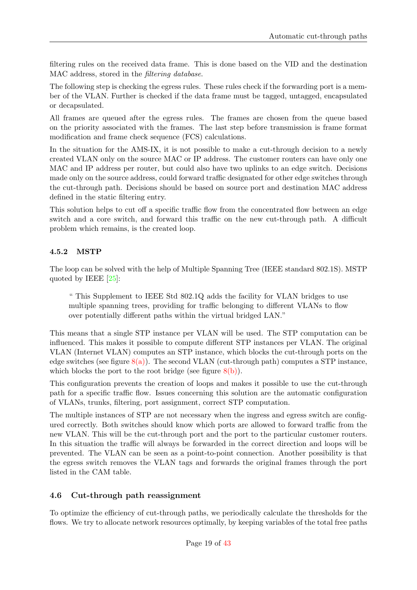filtering rules on the received data frame. This is done based on the VID and the destination MAC address, stored in the filtering database.

The following step is checking the egress rules. These rules check if the forwarding port is a member of the VLAN. Further is checked if the data frame must be tagged, untagged, encapsulated or decapsulated.

All frames are queued after the egress rules. The frames are chosen from the queue based on the priority associated with the frames. The last step before transmission is frame format modification and frame check sequence (FCS) calculations.

In the situation for the AMS-IX, it is not possible to make a cut-through decision to a newly created VLAN only on the source MAC or IP address. The customer routers can have only one MAC and IP address per router, but could also have two uplinks to an edge switch. Decisions made only on the source address, could forward traffic designated for other edge switches through the cut-through path. Decisions should be based on source port and destination MAC address defined in the static filtering entry.

This solution helps to cut off a specific traffic flow from the concentrated flow between an edge switch and a core switch, and forward this traffic on the new cut-through path. A difficult problem which remains, is the created loop.

#### 4.5.2 MSTP

The loop can be solved with the help of Multiple Spanning Tree (IEEE standard 802.1S). MSTP quoted by IEEE [\[25\]](#page-39-4):

" This Supplement to IEEE Std 802.1Q adds the facility for VLAN bridges to use multiple spanning trees, providing for traffic belonging to different VLANs to flow over potentially different paths within the virtual bridged LAN."

This means that a single STP instance per VLAN will be used. The STP computation can be influenced. This makes it possible to compute different STP instances per VLAN. The original VLAN (Internet VLAN) computes an STP instance, which blocks the cut-through ports on the edge switches (see figure  $8(a)$ ). The second VLAN (cut-through path) computes a STP instance, which blocks the port to the root bridge (see figure  $8(b)$ ).

This configuration prevents the creation of loops and makes it possible to use the cut-through path for a specific traffic flow. Issues concerning this solution are the automatic configuration of VLANs, trunks, filtering, port assignment, correct STP computation.

The multiple instances of STP are not necessary when the ingress and egress switch are configured correctly. Both switches should know which ports are allowed to forward traffic from the new VLAN. This will be the cut-through port and the port to the particular customer routers. In this situation the traffic will always be forwarded in the correct direction and loops will be prevented. The VLAN can be seen as a point-to-point connection. Another possibility is that the egress switch removes the VLAN tags and forwards the original frames through the port listed in the CAM table.

#### <span id="page-19-0"></span>4.6 Cut-through path reassignment

To optimize the efficiency of cut-through paths, we periodically calculate the thresholds for the flows. We try to allocate network resources optimally, by keeping variables of the total free paths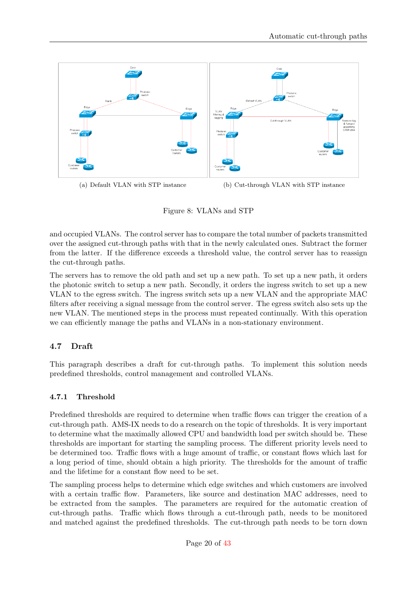<span id="page-20-2"></span>

<span id="page-20-3"></span><span id="page-20-1"></span>Figure 8: VLANs and STP

and occupied VLANs. The control server has to compare the total number of packets transmitted over the assigned cut-through paths with that in the newly calculated ones. Subtract the former from the latter. If the difference exceeds a threshold value, the control server has to reassign the cut-through paths.

The servers has to remove the old path and set up a new path. To set up a new path, it orders the photonic switch to setup a new path. Secondly, it orders the ingress switch to set up a new VLAN to the egress switch. The ingress switch sets up a new VLAN and the appropriate MAC filters after receiving a signal message from the control server. The egress switch also sets up the new VLAN. The mentioned steps in the process must repeated continually. With this operation we can efficiently manage the paths and VLANs in a non-stationary environment.

#### <span id="page-20-0"></span>4.7 Draft

This paragraph describes a draft for cut-through paths. To implement this solution needs predefined thresholds, control management and controlled VLANs.

#### 4.7.1 Threshold

Predefined thresholds are required to determine when traffic flows can trigger the creation of a cut-through path. AMS-IX needs to do a research on the topic of thresholds. It is very important to determine what the maximally allowed CPU and bandwidth load per switch should be. These thresholds are important for starting the sampling process. The different priority levels need to be determined too. Traffic flows with a huge amount of traffic, or constant flows which last for a long period of time, should obtain a high priority. The thresholds for the amount of traffic and the lifetime for a constant flow need to be set.

The sampling process helps to determine which edge switches and which customers are involved with a certain traffic flow. Parameters, like source and destination MAC addresses, need to be extracted from the samples. The parameters are required for the automatic creation of cut-through paths. Traffic which flows through a cut-through path, needs to be monitored and matched against the predefined thresholds. The cut-through path needs to be torn down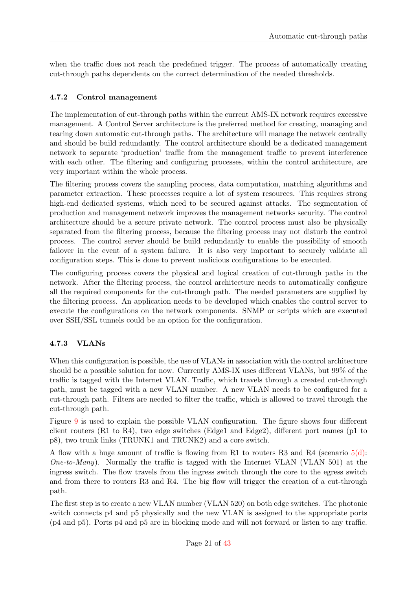when the traffic does not reach the predefined trigger. The process of automatically creating cut-through paths dependents on the correct determination of the needed thresholds.

### 4.7.2 Control management

The implementation of cut-through paths within the current AMS-IX network requires excessive management. A Control Server architecture is the preferred method for creating, managing and tearing down automatic cut-through paths. The architecture will manage the network centrally and should be build redundantly. The control architecture should be a dedicated management network to separate 'production' traffic from the management traffic to prevent interference with each other. The filtering and configuring processes, within the control architecture, are very important within the whole process.

The filtering process covers the sampling process, data computation, matching algorithms and parameter extraction. These processes require a lot of system resources. This requires strong high-end dedicated systems, which need to be secured against attacks. The segmentation of production and management network improves the management networks security. The control architecture should be a secure private network. The control process must also be physically separated from the filtering process, because the filtering process may not disturb the control process. The control server should be build redundantly to enable the possibility of smooth failover in the event of a system failure. It is also very important to securely validate all configuration steps. This is done to prevent malicious configurations to be executed.

The configuring process covers the physical and logical creation of cut-through paths in the network. After the filtering process, the control architecture needs to automatically configure all the required components for the cut-through path. The needed parameters are supplied by the filtering process. An application needs to be developed which enables the control server to execute the configurations on the network components. SNMP or scripts which are executed over SSH/SSL tunnels could be an option for the configuration.

## 4.7.3 VLANs

When this configuration is possible, the use of VLANs in association with the control architecture should be a possible solution for now. Currently AMS-IX uses different VLANs, but 99% of the traffic is tagged with the Internet VLAN. Traffic, which travels through a created cut-through path, must be tagged with a new VLAN number. A new VLAN needs to be configured for a cut-through path. Filters are needed to filter the traffic, which is allowed to travel through the cut-through path.

Figure [9](#page-22-0) is used to explain the possible VLAN configuration. The figure shows four different client routers (R1 to R4), two edge switches (Edge1 and Edge2), different port names (p1 to p8), two trunk links (TRUNK1 and TRUNK2) and a core switch.

A flow with a huge amount of traffic is flowing from R1 to routers R3 and R4 (scenario  $5(d)$ ): *One-to-Many*). Normally the traffic is tagged with the Internet VLAN (VLAN 501) at the ingress switch. The flow travels from the ingress switch through the core to the egress switch and from there to routers R3 and R4. The big flow will trigger the creation of a cut-through path.

The first step is to create a new VLAN number (VLAN 520) on both edge switches. The photonic switch connects p4 and p5 physically and the new VLAN is assigned to the appropriate ports (p4 and p5). Ports p4 and p5 are in blocking mode and will not forward or listen to any traffic.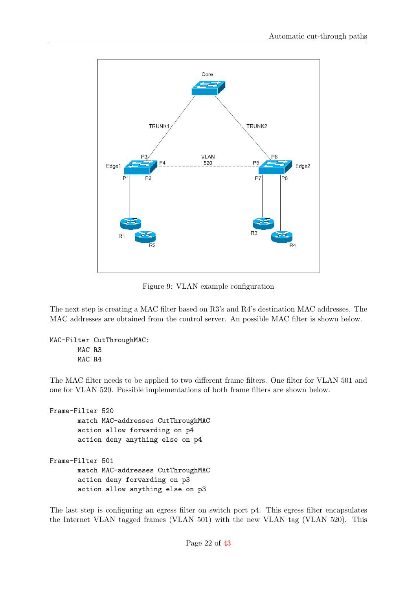

<span id="page-22-0"></span>Figure 9: VLAN example configuration

The next step is creating a MAC filter based on R3's and R4's destination MAC addresses. The MAC addresses are obtained from the control server. An possible MAC filter is shown below.

```
MAC-Filter CutThroughMAC:
       MAC R3
       MAC R4
```
The MAC filter needs to be applied to two different frame filters. One filter for VLAN 501 and one for VLAN 520. Possible implementations of both frame filters are shown below.

```
Frame-Filter 520
       match MAC-addresses CutThroughMAC
       action allow forwarding on p4
       action deny anything else on p4
Frame-Filter 501
       match MAC-addresses CutThroughMAC
       action deny forwarding on p3
       action allow anything else on p3
```
The last step is configuring an egress filter on switch port p4. This egress filter encapsulates the Internet VLAN tagged frames (VLAN 501) with the new VLAN tag (VLAN 520). This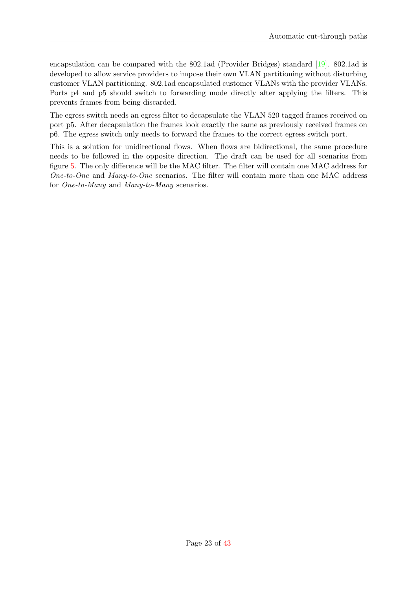encapsulation can be compared with the 802.1ad (Provider Bridges) standard [\[19\]](#page-39-5). 802.1ad is developed to allow service providers to impose their own VLAN partitioning without disturbing customer VLAN partitioning. 802.1ad encapsulated customer VLANs with the provider VLANs. Ports p4 and p5 should switch to forwarding mode directly after applying the filters. This prevents frames from being discarded.

The egress switch needs an egress filter to decapsulate the VLAN 520 tagged frames received on port p5. After decapsulation the frames look exactly the same as previously received frames on p6. The egress switch only needs to forward the frames to the correct egress switch port.

This is a solution for unidirectional flows. When flows are bidirectional, the same procedure needs to be followed in the opposite direction. The draft can be used for all scenarios from figure [5.](#page-15-1) The only difference will be the MAC filter. The filter will contain one MAC address for One-to-One and Many-to-One scenarios. The filter will contain more than one MAC address for One-to-Many and Many-to-Many scenarios.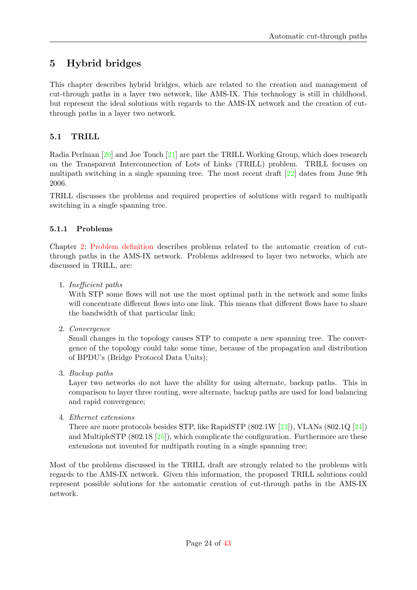## <span id="page-24-0"></span>5 Hybrid bridges

This chapter describes hybrid bridges, which are related to the creation and management of cut-through paths in a layer two network, like AMS-IX. This technology is still in childhood, but represent the ideal solutions with regards to the AMS-IX network and the creation of cutthrough paths in a layer two network.

## <span id="page-24-1"></span>5.1 TRILL

Radia Perlman [\[20\]](#page-39-6) and Joe Touch [\[21\]](#page-39-7) are part the TRILL Working Group, which does research on the Transparent Interconnection of Lots of Links (TRILL) problem. TRILL focuses on multipath switching in a single spanning tree. The most recent draft [\[22\]](#page-39-8) dates from June 9th 2006.

TRILL discusses the problems and required properties of solutions with regard to multipath switching in a single spanning tree.

#### 5.1.1 Problems

Chapter [2:](#page-5-0) [Problem definition](#page-5-0) describes problems related to the automatic creation of cutthrough paths in the AMS-IX network. Problems addressed to layer two networks, which are discussed in TRILL, are:

1. Inefficient paths

With STP some flows will not use the most optimal path in the network and some links will concentrate different flows into one link. This means that different flows have to share the bandwidth of that particular link;

2. Convergence

Small changes in the topology causes STP to compute a new spanning tree. The convergence of the topology could take some time, because of the propagation and distribution of BPDU's (Bridge Protocol Data Units);

3. Backup paths

Layer two networks do not have the ability for using alternate, backup paths. This in comparison to layer three routing, were alternate, backup paths are used for load balancing and rapid convergence;

4. Ethernet extensions

There are more protocols besides STP, like RapidSTP (802.1W [\[23\]](#page-39-9)), VLANs (802.1Q [\[24\]](#page-39-10)) and MultipleSTP  $(802.1S \, [25])$  $(802.1S \, [25])$  $(802.1S \, [25])$ , which complicate the configuration. Furthermore are these extensions not invented for multipath routing in a single spanning tree;

Most of the problems discussed in the TRILL draft are strongly related to the problems with regards to the AMS-IX network. Given this information, the proposed TRILL solutions could represent possible solutions for the automatic creation of cut-through paths in the AMS-IX network.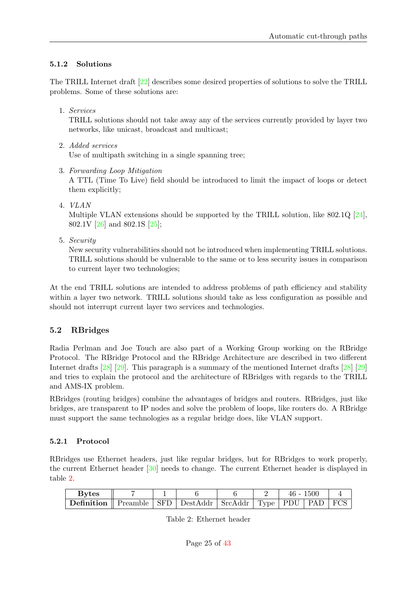#### 5.1.2 Solutions

The TRILL Internet draft [\[22\]](#page-39-8) describes some desired properties of solutions to solve the TRILL problems. Some of these solutions are:

1. Services

TRILL solutions should not take away any of the services currently provided by layer two networks, like unicast, broadcast and multicast;

- 2. Added services Use of multipath switching in a single spanning tree;
- 3. Forwarding Loop Mitigation

A TTL (Time To Live) field should be introduced to limit the impact of loops or detect them explicitly;

4. VLAN

Multiple VLAN extensions should be supported by the TRILL solution, like 802.1Q [\[24\]](#page-39-10), 802.1V [\[26\]](#page-39-11) and 802.1S [\[25\]](#page-39-4);

5. Security

New security vulnerabilities should not be introduced when implementing TRILL solutions. TRILL solutions should be vulnerable to the same or to less security issues in comparison to current layer two technologies;

At the end TRILL solutions are intended to address problems of path efficiency and stability within a layer two network. TRILL solutions should take as less configuration as possible and should not interrupt current layer two services and technologies.

#### <span id="page-25-0"></span>5.2 RBridges

Radia Perlman and Joe Touch are also part of a Working Group working on the RBridge Protocol. The RBridge Protocol and the RBridge Architecture are described in two different Internet drafts [\[28\]](#page-39-12) [\[29\]](#page-39-13). This paragraph is a summary of the mentioned Internet drafts [\[28\]](#page-39-12) [\[29\]](#page-39-13) and tries to explain the protocol and the architecture of RBridges with regards to the TRILL and AMS-IX problem.

RBridges (routing bridges) combine the advantages of bridges and routers. RBridges, just like bridges, are transparent to IP nodes and solve the problem of loops, like routers do. A RBridge must support the same technologies as a regular bridge does, like VLAN support.

#### 5.2.1 Protocol

RBridges use Ethernet headers, just like regular bridges, but for RBridges to work properly, the current Ethernet header [\[30\]](#page-39-14) needs to change. The current Ethernet header is displayed in table [2.](#page-25-1)

| <b>Bytes</b>                                                               |  |  | $46 - 1500$ |  |
|----------------------------------------------------------------------------|--|--|-------------|--|
| Definition    Preamble   SFD   DestAddr   SrcAddr   Type   PDU   PAD   FCS |  |  |             |  |

<span id="page-25-1"></span>Table 2: Ethernet header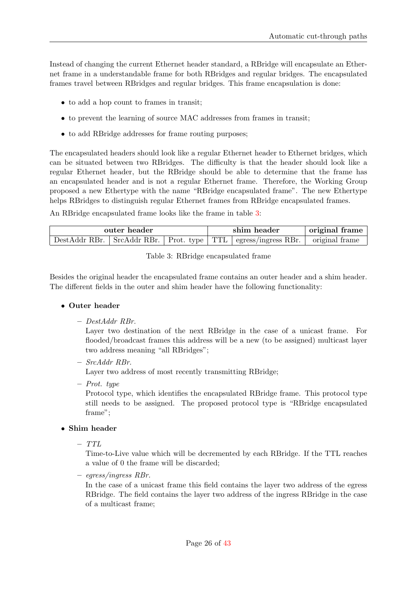Instead of changing the current Ethernet header standard, a RBridge will encapsulate an Ethernet frame in a understandable frame for both RBridges and regular bridges. The encapsulated frames travel between RBridges and regular bridges. This frame encapsulation is done:

- to add a hop count to frames in transit;
- to prevent the learning of source MAC addresses from frames in transit;
- to add RBridge addresses for frame routing purposes;

The encapsulated headers should look like a regular Ethernet header to Ethernet bridges, which can be situated between two RBridges. The difficulty is that the header should look like a regular Ethernet header, but the RBridge should be able to determine that the frame has an encapsulated header and is not a regular Ethernet frame. Therefore, the Working Group proposed a new Ethertype with the name "RBridge encapsulated frame". The new Ethertype helps RBridges to distinguish regular Ethernet frames from RBridge encapsulated frames.

An RBridge encapsulated frame looks like the frame in table [3:](#page-26-0)

| outer header |  |  |  | shim header                                                                            | original frame |
|--------------|--|--|--|----------------------------------------------------------------------------------------|----------------|
|              |  |  |  | DestAddr RBr.   SrcAddr RBr.   Prot. type   TTL   egress/ingress RBr.   original frame |                |

<span id="page-26-0"></span>Table 3: RBridge encapsulated frame

Besides the original header the encapsulated frame contains an outer header and a shim header. The different fields in the outer and shim header have the following functionality:

#### • Outer header

– DestAddr RBr.

Layer two destination of the next RBridge in the case of a unicast frame. For flooded/broadcast frames this address will be a new (to be assigned) multicast layer two address meaning "all RBridges";

– SrcAddr RBr.

Layer two address of most recently transmitting RBridge;

– Prot. type

Protocol type, which identifies the encapsulated RBridge frame. This protocol type still needs to be assigned. The proposed protocol type is "RBridge encapsulated frame";

#### • Shim header

 $-TTL$ 

Time-to-Live value which will be decremented by each RBridge. If the TTL reaches a value of 0 the frame will be discarded;

– egress/ingress RBr.

In the case of a unicast frame this field contains the layer two address of the egress RBridge. The field contains the layer two address of the ingress RBridge in the case of a multicast frame;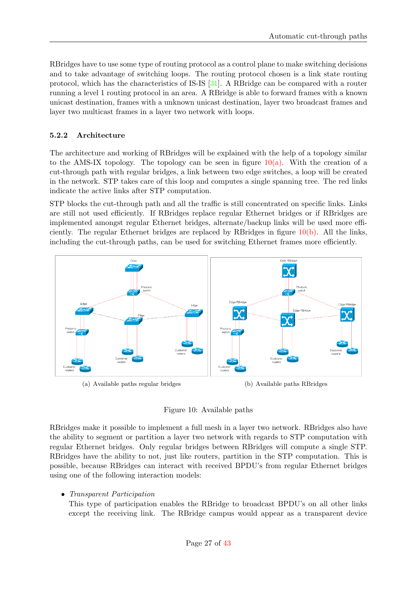RBridges have to use some type of routing protocol as a control plane to make switching decisions and to take advantage of switching loops. The routing protocol chosen is a link state routing protocol, which has the characteristics of IS-IS [\[31\]](#page-39-15). A RBridge can be compared with a router running a level 1 routing protocol in an area. A RBridge is able to forward frames with a known unicast destination, frames with a unknown unicast destination, layer two broadcast frames and layer two multicast frames in a layer two network with loops.

#### 5.2.2 Architecture

The architecture and working of RBridges will be explained with the help of a topology similar to the AMS-IX topology. The topology can be seen in figure  $10(a)$ . With the creation of a cut-through path with regular bridges, a link between two edge switches, a loop will be created in the network. STP takes care of this loop and computes a single spanning tree. The red links indicate the active links after STP computation.

STP blocks the cut-through path and all the traffic is still concentrated on specific links. Links are still not used efficiently. If RBridges replace regular Ethernet bridges or if RBridges are implemented amongst regular Ethernet bridges, alternate/backup links will be used more efficiently. The regular Ethernet bridges are replaced by RB ridges in figure  $10(b)$ . All the links, including the cut-through paths, can be used for switching Ethernet frames more efficiently.

<span id="page-27-1"></span>

(a) Available paths regular bridges (b) Available paths RBridges

<span id="page-27-2"></span>

#### <span id="page-27-0"></span>Figure 10: Available paths

RBridges make it possible to implement a full mesh in a layer two network. RBridges also have the ability to segment or partition a layer two network with regards to STP computation with regular Ethernet bridges. Only regular bridges between RBridges will compute a single STP. RBridges have the ability to not, just like routers, partition in the STP computation. This is possible, because RBridges can interact with received BPDU's from regular Ethernet bridges using one of the following interaction models:

#### • Transparent Participation

This type of participation enables the RBridge to broadcast BPDU's on all other links except the receiving link. The RBridge campus would appear as a transparent device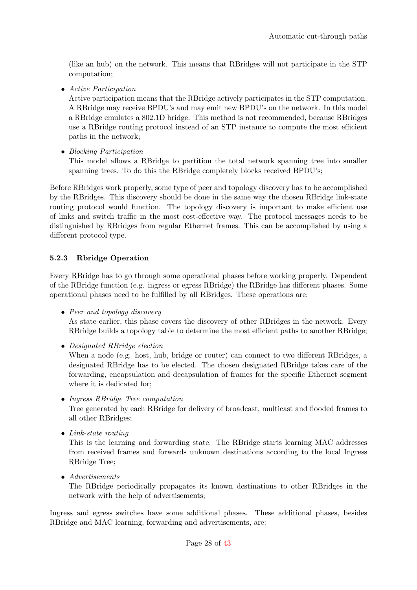(like an hub) on the network. This means that RBridges will not participate in the STP computation;

• Active Participation

Active participation means that the RBridge actively participates in the STP computation. A RBridge may receive BPDU's and may emit new BPDU's on the network. In this model a RBridge emulates a 802.1D bridge. This method is not recommended, because RBridges use a RBridge routing protocol instead of an STP instance to compute the most efficient paths in the network;

• Blocking Participation

This model allows a RBridge to partition the total network spanning tree into smaller spanning trees. To do this the RBridge completely blocks received BPDU's;

Before RBridges work properly, some type of peer and topology discovery has to be accomplished by the RBridges. This discovery should be done in the same way the chosen RBridge link-state routing protocol would function. The topology discovery is important to make efficient use of links and switch traffic in the most cost-effective way. The protocol messages needs to be distinguished by RBridges from regular Ethernet frames. This can be accomplished by using a different protocol type.

#### 5.2.3 Rbridge Operation

Every RBridge has to go through some operational phases before working properly. Dependent of the RBridge function (e.g. ingress or egress RBridge) the RBridge has different phases. Some operational phases need to be fulfilled by all RBridges. These operations are:

• Peer and topology discovery

As state earlier, this phase covers the discovery of other RBridges in the network. Every RBridge builds a topology table to determine the most efficient paths to another RBridge;

• Designated RBridge election

When a node (e.g. host, hub, bridge or router) can connect to two different RBridges, a designated RBridge has to be elected. The chosen designated RBridge takes care of the forwarding, encapsulation and decapsulation of frames for the specific Ethernet segment where it is dedicated for;

- Ingress RBridge Tree computation Tree generated by each RBridge for delivery of broadcast, multicast and flooded frames to all other RBridges;
- Link-state routing

This is the learning and forwarding state. The RBridge starts learning MAC addresses from received frames and forwards unknown destinations according to the local Ingress RBridge Tree;

• Advertisements

The RBridge periodically propagates its known destinations to other RBridges in the network with the help of advertisements;

Ingress and egress switches have some additional phases. These additional phases, besides RBridge and MAC learning, forwarding and advertisements, are: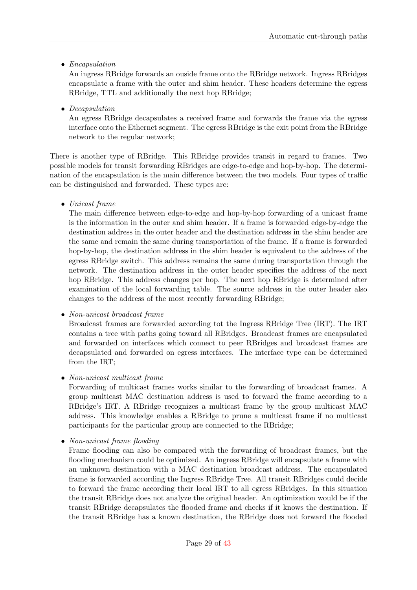• Encapsulation

An ingress RBridge forwards an ouside frame onto the RBridge network. Ingress RBridges encapsulate a frame with the outer and shim header. These headers determine the egress RBridge, TTL and additionally the next hop RBridge;

• Decapsulation

An egress RBridge decapsulates a received frame and forwards the frame via the egress interface onto the Ethernet segment. The egress RBridge is the exit point from the RBridge network to the regular network;

There is another type of RBridge. This RBridge provides transit in regard to frames. Two possible models for transit forwarding RBridges are edge-to-edge and hop-by-hop. The determination of the encapsulation is the main difference between the two models. Four types of traffic can be distinguished and forwarded. These types are:

• Unicast frame

The main difference between edge-to-edge and hop-by-hop forwarding of a unicast frame is the information in the outer and shim header. If a frame is forwarded edge-by-edge the destination address in the outer header and the destination address in the shim header are the same and remain the same during transportation of the frame. If a frame is forwarded hop-by-hop, the destination address in the shim header is equivalent to the address of the egress RBridge switch. This address remains the same during transportation through the network. The destination address in the outer header specifies the address of the next hop RBridge. This address changes per hop. The next hop RBridge is determined after examination of the local forwarding table. The source address in the outer header also changes to the address of the most recently forwarding RBridge;

• Non-unicast broadcast frame

Broadcast frames are forwarded according tot the Ingress RBridge Tree (IRT). The IRT contains a tree with paths going toward all RBridges. Broadcast frames are encapsulated and forwarded on interfaces which connect to peer RBridges and broadcast frames are decapsulated and forwarded on egress interfaces. The interface type can be determined from the IRT;

• Non-unicast multicast frame

Forwarding of multicast frames works similar to the forwarding of broadcast frames. A group multicast MAC destination address is used to forward the frame according to a RBridge's IRT. A RBridge recognizes a multicast frame by the group multicast MAC address. This knowledge enables a RBridge to prune a multicast frame if no multicast participants for the particular group are connected to the RBridge;

• Non-unicast frame flooding

Frame flooding can also be compared with the forwarding of broadcast frames, but the flooding mechanism could be optimized. An ingress RBridge will encapsulate a frame with an unknown destination with a MAC destination broadcast address. The encapsulated frame is forwarded according the Ingress RBridge Tree. All transit RBridges could decide to forward the frame according their local IRT to all egress RBridges. In this situation the transit RBridge does not analyze the original header. An optimization would be if the transit RBridge decapsulates the flooded frame and checks if it knows the destination. If the transit RBridge has a known destination, the RBridge does not forward the flooded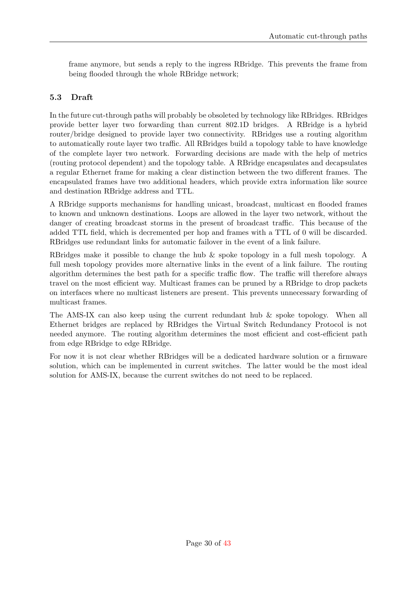frame anymore, but sends a reply to the ingress RBridge. This prevents the frame from being flooded through the whole RBridge network;

## <span id="page-30-0"></span>5.3 Draft

In the future cut-through paths will probably be obsoleted by technology like RBridges. RBridges provide better layer two forwarding than current 802.1D bridges. A RBridge is a hybrid router/bridge designed to provide layer two connectivity. RBridges use a routing algorithm to automatically route layer two traffic. All RBridges build a topology table to have knowledge of the complete layer two network. Forwarding decisions are made with the help of metrics (routing protocol dependent) and the topology table. A RBridge encapsulates and decapsulates a regular Ethernet frame for making a clear distinction between the two different frames. The encapsulated frames have two additional headers, which provide extra information like source and destination RBridge address and TTL.

A RBridge supports mechanisms for handling unicast, broadcast, multicast en flooded frames to known and unknown destinations. Loops are allowed in the layer two network, without the danger of creating broadcast storms in the present of broadcast traffic. This because of the added TTL field, which is decremented per hop and frames with a TTL of 0 will be discarded. RBridges use redundant links for automatic failover in the event of a link failure.

RBridges make it possible to change the hub & spoke topology in a full mesh topology. A full mesh topology provides more alternative links in the event of a link failure. The routing algorithm determines the best path for a specific traffic flow. The traffic will therefore always travel on the most efficient way. Multicast frames can be pruned by a RBridge to drop packets on interfaces where no multicast listeners are present. This prevents unnecessary forwarding of multicast frames.

The AMS-IX can also keep using the current redundant hub & spoke topology. When all Ethernet bridges are replaced by RBridges the Virtual Switch Redundancy Protocol is not needed anymore. The routing algorithm determines the most efficient and cost-efficient path from edge RBridge to edge RBridge.

For now it is not clear whether RBridges will be a dedicated hardware solution or a firmware solution, which can be implemented in current switches. The latter would be the most ideal solution for AMS-IX, because the current switches do not need to be replaced.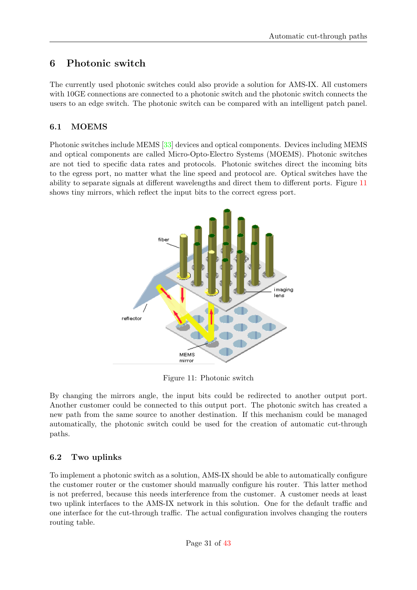## <span id="page-31-0"></span>6 Photonic switch

The currently used photonic switches could also provide a solution for AMS-IX. All customers with 10GE connections are connected to a photonic switch and the photonic switch connects the users to an edge switch. The photonic switch can be compared with an intelligent patch panel.

### <span id="page-31-1"></span>6.1 MOEMS

Photonic switches include MEMS [\[33\]](#page-39-16) devices and optical components. Devices including MEMS and optical components are called Micro-Opto-Electro Systems (MOEMS). Photonic switches are not tied to specific data rates and protocols. Photonic switches direct the incoming bits to the egress port, no matter what the line speed and protocol are. Optical switches have the ability to separate signals at different wavelengths and direct them to different ports. Figure [11](#page-31-3) shows tiny mirrors, which reflect the input bits to the correct egress port.



<span id="page-31-3"></span>Figure 11: Photonic switch

By changing the mirrors angle, the input bits could be redirected to another output port. Another customer could be connected to this output port. The photonic switch has created a new path from the same source to another destination. If this mechanism could be managed automatically, the photonic switch could be used for the creation of automatic cut-through paths.

#### <span id="page-31-2"></span>6.2 Two uplinks

To implement a photonic switch as a solution, AMS-IX should be able to automatically configure the customer router or the customer should manually configure his router. This latter method is not preferred, because this needs interference from the customer. A customer needs at least two uplink interfaces to the AMS-IX network in this solution. One for the default traffic and one interface for the cut-through traffic. The actual configuration involves changing the routers routing table.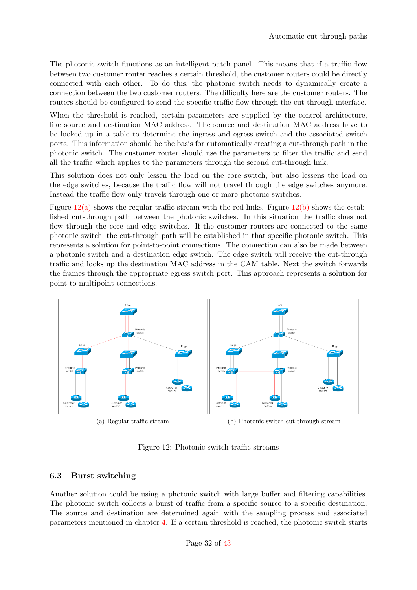The photonic switch functions as an intelligent patch panel. This means that if a traffic flow between two customer router reaches a certain threshold, the customer routers could be directly connected with each other. To do this, the photonic switch needs to dynamically create a connection between the two customer routers. The difficulty here are the customer routers. The routers should be configured to send the specific traffic flow through the cut-through interface.

When the threshold is reached, certain parameters are supplied by the control architecture, like source and destination MAC address. The source and destination MAC address have to be looked up in a table to determine the ingress and egress switch and the associated switch ports. This information should be the basis for automatically creating a cut-through path in the photonic switch. The customer router should use the parameters to filter the traffic and send all the traffic which applies to the parameters through the second cut-through link.

This solution does not only lessen the load on the core switch, but also lessens the load on the edge switches, because the traffic flow will not travel through the edge switches anymore. Instead the traffic flow only travels through one or more photonic switches.

Figure  $12(a)$  shows the regular traffic stream with the red links. Figure  $12(b)$  shows the established cut-through path between the photonic switches. In this situation the traffic does not flow through the core and edge switches. If the customer routers are connected to the same photonic switch, the cut-through path will be established in that specific photonic switch. This represents a solution for point-to-point connections. The connection can also be made between a photonic switch and a destination edge switch. The edge switch will receive the cut-through traffic and looks up the destination MAC address in the CAM table. Next the switch forwards the frames through the appropriate egress switch port. This approach represents a solution for point-to-multipoint connections.

<span id="page-32-2"></span>

<span id="page-32-3"></span><span id="page-32-1"></span>Figure 12: Photonic switch traffic streams

#### <span id="page-32-0"></span>6.3 Burst switching

Another solution could be using a photonic switch with large buffer and filtering capabilities. The photonic switch collects a burst of traffic from a specific source to a specific destination. The source and destination are determined again with the sampling process and associated parameters mentioned in chapter [4.](#page-11-0) If a certain threshold is reached, the photonic switch starts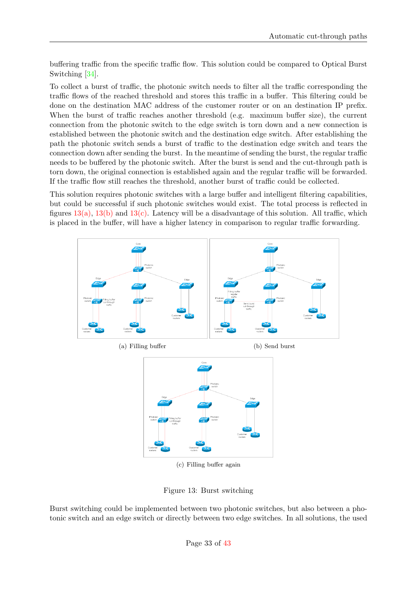buffering traffic from the specific traffic flow. This solution could be compared to Optical Burst Switching [\[34\]](#page-40-0).

To collect a burst of traffic, the photonic switch needs to filter all the traffic corresponding the traffic flows of the reached threshold and stores this traffic in a buffer. This filtering could be done on the destination MAC address of the customer router or on an destination IP prefix. When the burst of traffic reaches another threshold (e.g. maximum buffer size), the current connection from the photonic switch to the edge switch is torn down and a new connection is established between the photonic switch and the destination edge switch. After establishing the path the photonic switch sends a burst of traffic to the destination edge switch and tears the connection down after sending the burst. In the meantime of sending the burst, the regular traffic needs to be buffered by the photonic switch. After the burst is send and the cut-through path is torn down, the original connection is established again and the regular traffic will be forwarded. If the traffic flow still reaches the threshold, another burst of traffic could be collected.

This solution requires photonic switches with a large buffer and intelligent filtering capabilities, but could be successful if such photonic switches would exist. The total process is reflected in figures  $13(a)$ ,  $13(b)$  and  $13(c)$ . Latency will be a disadvantage of this solution. All traffic, which is placed in the buffer, will have a higher latency in comparison to regular traffic forwarding.

<span id="page-33-1"></span>

<span id="page-33-3"></span><span id="page-33-2"></span><span id="page-33-0"></span>(c) Filling buffer again

Figure 13: Burst switching

Burst switching could be implemented between two photonic switches, but also between a photonic switch and an edge switch or directly between two edge switches. In all solutions, the used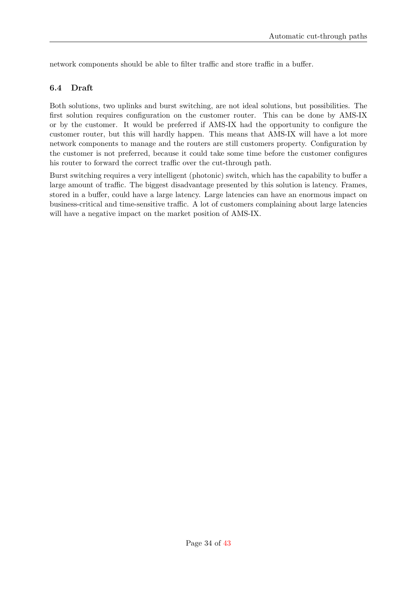network components should be able to filter traffic and store traffic in a buffer.

## <span id="page-34-0"></span>6.4 Draft

Both solutions, two uplinks and burst switching, are not ideal solutions, but possibilities. The first solution requires configuration on the customer router. This can be done by AMS-IX or by the customer. It would be preferred if AMS-IX had the opportunity to configure the customer router, but this will hardly happen. This means that AMS-IX will have a lot more network components to manage and the routers are still customers property. Configuration by the customer is not preferred, because it could take some time before the customer configures his router to forward the correct traffic over the cut-through path.

Burst switching requires a very intelligent (photonic) switch, which has the capability to buffer a large amount of traffic. The biggest disadvantage presented by this solution is latency. Frames, stored in a buffer, could have a large latency. Large latencies can have an enormous impact on business-critical and time-sensitive traffic. A lot of customers complaining about large latencies will have a negative impact on the market position of AMS-IX.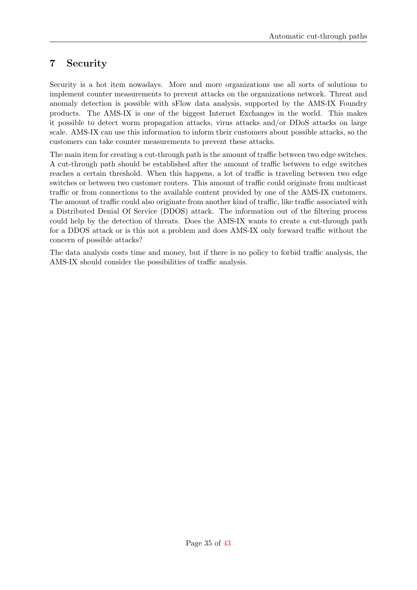# <span id="page-35-0"></span>7 Security

Security is a hot item nowadays. More and more organizations use all sorts of solutions to implement counter measurements to prevent attacks on the organizations network. Threat and anomaly detection is possible with sFlow data analysis, supported by the AMS-IX Foundry products. The AMS-IX is one of the biggest Internet Exchanges in the world. This makes it possible to detect worm propagation attacks, virus attacks and/or DDoS attacks on large scale. AMS-IX can use this information to inform their customers about possible attacks, so the customers can take counter measurements to prevent these attacks.

The main item for creating a cut-through path is the amount of traffic between two edge switches. A cut-through path should be established after the amount of traffic between to edge switches reaches a certain threshold. When this happens, a lot of traffic is traveling between two edge switches or between two customer routers. This amount of traffic could originate from multicast traffic or from connections to the available content provided by one of the AMS-IX customers. The amount of traffic could also originate from another kind of traffic, like traffic associated with a Distributed Denial Of Service (DDOS) attack. The information out of the filtering process could help by the detection of threats. Does the AMS-IX wants to create a cut-through path for a DDOS attack or is this not a problem and does AMS-IX only forward traffic without the concern of possible attacks?

The data analysis costs time and money, but if there is no policy to forbid traffic analysis, the AMS-IX should consider the possibilities of traffic analysis.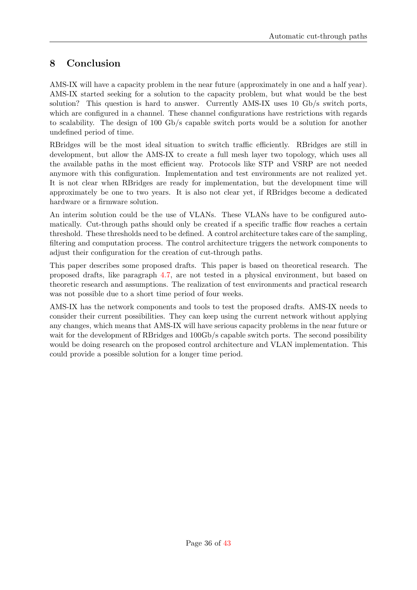# <span id="page-36-0"></span>8 Conclusion

AMS-IX will have a capacity problem in the near future (approximately in one and a half year). AMS-IX started seeking for a solution to the capacity problem, but what would be the best solution? This question is hard to answer. Currently AMS-IX uses 10 Gb/s switch ports, which are configured in a channel. These channel configurations have restrictions with regards to scalability. The design of 100 Gb/s capable switch ports would be a solution for another undefined period of time.

RBridges will be the most ideal situation to switch traffic efficiently. RBridges are still in development, but allow the AMS-IX to create a full mesh layer two topology, which uses all the available paths in the most efficient way. Protocols like STP and VSRP are not needed anymore with this configuration. Implementation and test environments are not realized yet. It is not clear when RBridges are ready for implementation, but the development time will approximately be one to two years. It is also not clear yet, if RBridges become a dedicated hardware or a firmware solution.

An interim solution could be the use of VLANs. These VLANs have to be configured automatically. Cut-through paths should only be created if a specific traffic flow reaches a certain threshold. These thresholds need to be defined. A control architecture takes care of the sampling, filtering and computation process. The control architecture triggers the network components to adjust their configuration for the creation of cut-through paths.

This paper describes some proposed drafts. This paper is based on theoretical research. The proposed drafts, like paragraph [4.7,](#page-20-0) are not tested in a physical environment, but based on theoretic research and assumptions. The realization of test environments and practical research was not possible due to a short time period of four weeks.

AMS-IX has the network components and tools to test the proposed drafts. AMS-IX needs to consider their current possibilities. They can keep using the current network without applying any changes, which means that AMS-IX will have serious capacity problems in the near future or wait for the development of RBridges and  $100\text{Gb/s}$  capable switch ports. The second possibility would be doing research on the proposed control architecture and VLAN implementation. This could provide a possible solution for a longer time period.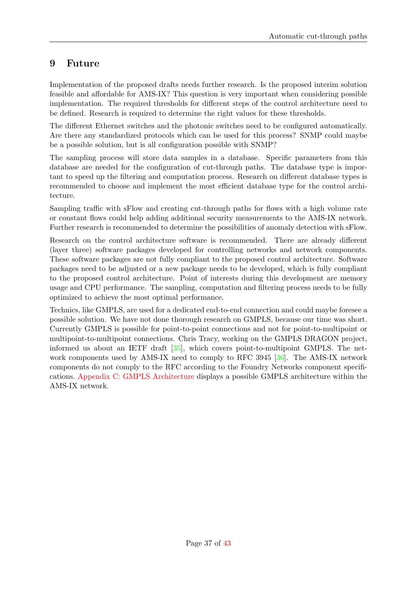## <span id="page-37-0"></span>9 Future

Implementation of the proposed drafts needs further research. Is the proposed interim solution feasible and affordable for AMS-IX? This question is very important when considering possible implementation. The required thresholds for different steps of the control architecture need to be defined. Research is required to determine the right values for these thresholds.

The different Ethernet switches and the photonic switches need to be configured automatically. Are there any standardized protocols which can be used for this process? SNMP could maybe be a possible solution, but is all configuration possible with SNMP?

The sampling process will store data samples in a database. Specific parameters from this database are needed for the configuration of cut-through paths. The database type is important to speed up the filtering and computation process. Research on different database types is recommended to choose and implement the most efficient database type for the control architecture.

Sampling traffic with sFlow and creating cut-through paths for flows with a high volume rate or constant flows could help adding additional security measurements to the AMS-IX network. Further research is recommended to determine the possibilities of anomaly detection with sFlow.

Research on the control architecture software is recommended. There are already different (layer three) software packages developed for controlling networks and network components. These software packages are not fully compliant to the proposed control architecture. Software packages need to be adjusted or a new package needs to be developed, which is fully compliant to the proposed control architecture. Point of interests during this development are memory usage and CPU performance. The sampling, computation and filtering process needs to be fully optimized to achieve the most optimal performance.

Technics, like GMPLS, are used for a dedicated end-to-end connection and could maybe foresee a possible solution. We have not done thorough research on GMPLS, because our time was short. Currently GMPLS is possible for point-to-point connections and not for point-to-multipoint or multipoint-to-multipoint connections. Chris Tracy, working on the GMPLS DRAGON project, informed us about an IETF draft  $[35]$ , which covers point-to-multipoint GMPLS. The net-work components used by AMS-IX need to comply to RFC 3945 [\[36\]](#page-40-2). The AMS-IX network components do not comply to the RFC according to the Foundry Networks component specifications. [Appendix C: GMPLS Architecture](#page-43-1) displays a possible GMPLS architecture within the AMS-IX network.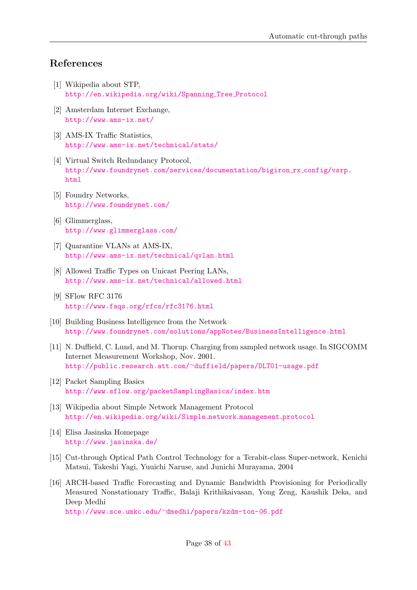## References

- <span id="page-38-1"></span><span id="page-38-0"></span>[1] Wikipedia about STP, [http://en.wikipedia.org/wiki/Spanning](http://en.wikipedia.org/wiki/Spanning_Tree_Protocol) Tree Protocol
- <span id="page-38-2"></span>[2] Amsterdam Internet Exchange, <http://www.ams-ix.net/>
- <span id="page-38-3"></span>[3] AMS-IX Traffic Statistics, <http://www.ams-ix.net/technical/stats/>
- <span id="page-38-5"></span>[4] Virtual Switch Redundancy Protocol, [http://www.foundrynet.com/services/documentation/bigiron](http://www.foundrynet.com/services/documentation/bigiron_rx_config/vsrp.html) rx config/vsrp. [html](http://www.foundrynet.com/services/documentation/bigiron_rx_config/vsrp.html)
- <span id="page-38-6"></span>[5] Foundry Networks, <http://www.foundrynet.com/>
- <span id="page-38-4"></span>[6] Glimmerglass, <http://www.glimmerglass.com/>
- <span id="page-38-7"></span>[7] Quarantine VLANs at AMS-IX, <http://www.ams-ix.net/technical/qvlan.html>
- <span id="page-38-8"></span>[8] Allowed Traffic Types on Unicast Peering LANs, <http://www.ams-ix.net/technical/allowed.html>
- <span id="page-38-9"></span>[9] SFlow RFC 3176 <http://www.faqs.org/rfcs/rfc3176.html>
- <span id="page-38-10"></span>[10] Building Business Intelligence from the Network <http://www.foundrynet.com/solutions/appNotes/BusinessIntelligence.html>
- <span id="page-38-11"></span>[11] N. Duffield, C. Lund, and M. Thorup. Charging from sampled network usage. In SIGCOMM Internet Measurement Workshop, Nov. 2001. http://public.research.att.com/∼[duffield/papers/DLT01-usage.pdf](http://public.research.att.com/~duffield/papers/DLT01-usage.pdf)
- <span id="page-38-12"></span>[12] Packet Sampling Basics <http://www.sflow.org/packetSamplingBasics/index.htm>
- <span id="page-38-13"></span>[13] Wikipedia about Simple Network Management Protocol [http://en.wikipedia.org/wiki/Simple](http://en.wikipedia.org/wiki/Simple_network_management_protocol) network management protocol
- <span id="page-38-14"></span>[14] Elisa Jasinska Homepage <http://www.jasinska.de/>
- <span id="page-38-15"></span>[15] Cut-through Optical Path Control Technology for a Terabit-class Super-network, Kenichi Matsui, Takeshi Yagi, Yuuichi Naruse, and Junichi Murayama, 2004
- <span id="page-38-16"></span>[16] ARCH-based Traffic Forecasting and Dynamic Bandwidth Provisioning for Periodically Measured Nonstationary Traffic, Balaji Krithikaivasan, Yong Zeng, Kaushik Deka, and Deep Medhi

http://www.sce.umkc.edu/∼[dmedhi/papers/kzdm-ton-06.pdf](http://www.sce.umkc.edu/~dmedhi/papers/kzdm-ton-06.pdf)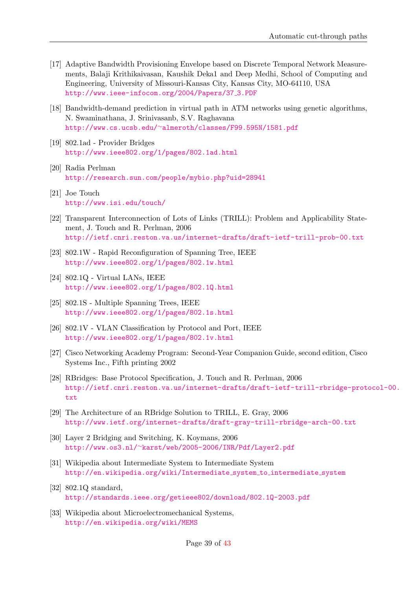- <span id="page-39-1"></span>[17] Adaptive Bandwidth Provisioning Envelope based on Discrete Temporal Network Measurements, Balaji Krithikaivasan, Kaushik Deka1 and Deep Medhi, School of Computing and Engineering, University of Missouri-Kansas City, Kansas City, MO-64110, USA [http://www.ieee-infocom.org/2004/Papers/37](http://www.ieee-infocom.org/2004/Papers/37_3.PDF)\_3.PDF
- <span id="page-39-2"></span>[18] Bandwidth-demand prediction in virtual path in ATM networks using genetic algorithms, N. Swaminathana, J. Srinivasanb, S.V. Raghavana http://www.cs.ucsb.edu/∼[almeroth/classes/F99.595N/1581.pdf](http://www.cs.ucsb.edu/~almeroth/classes/F99.595N/1581.pdf)
- <span id="page-39-5"></span>[19] 802.1ad - Provider Bridges <http://www.ieee802.org/1/pages/802.1ad.html>
- <span id="page-39-6"></span>[20] Radia Perlman <http://research.sun.com/people/mybio.php?uid=28941>
- <span id="page-39-7"></span>[21] Joe Touch <http://www.isi.edu/touch/>
- <span id="page-39-8"></span>[22] Transparent Interconnection of Lots of Links (TRILL): Problem and Applicability Statement, J. Touch and R. Perlman, 2006 <http://ietf.cnri.reston.va.us/internet-drafts/draft-ietf-trill-prob-00.txt>
- <span id="page-39-9"></span>[23] 802.1W - Rapid Reconfiguration of Spanning Tree, IEEE <http://www.ieee802.org/1/pages/802.1w.html>
- <span id="page-39-10"></span>[24] 802.1Q - Virtual LANs, IEEE <http://www.ieee802.org/1/pages/802.1Q.html>
- <span id="page-39-4"></span>[25] 802.1S - Multiple Spanning Trees, IEEE <http://www.ieee802.org/1/pages/802.1s.html>
- <span id="page-39-11"></span>[26] 802.1V - VLAN Classification by Protocol and Port, IEEE <http://www.ieee802.org/1/pages/802.1v.html>
- <span id="page-39-0"></span>[27] Cisco Networking Academy Program: Second-Year Companion Guide, second edition, Cisco Systems Inc., Fifth printing 2002
- <span id="page-39-12"></span>[28] RBridges: Base Protocol Specification, J. Touch and R. Perlman, 2006 [http://ietf.cnri.reston.va.us/internet-drafts/draft-ietf-trill-rbridge-prot](http://ietf.cnri.reston.va.us/internet-drafts/draft-ietf-trill-rbridge-protocol-00.txt)ocol-00. [txt](http://ietf.cnri.reston.va.us/internet-drafts/draft-ietf-trill-rbridge-protocol-00.txt)
- <span id="page-39-13"></span>[29] The Architecture of an RBridge Solution to TRILL, E. Gray, 2006 <http://www.ietf.org/internet-drafts/draft-gray-trill-rbridge-arch-00.txt>
- <span id="page-39-14"></span>[30] Layer 2 Bridging and Switching, K. Koymans, 2006 http://www.os3.nl/∼[karst/web/2005-2006/INR/Pdf/Layer2.pdf](http://www.os3.nl/~karst/web/2005-2006/INR/Pdf/Layer2.pdf)
- <span id="page-39-15"></span>[31] Wikipedia about Intermediate System to Intermediate System [http://en.wikipedia.org/wiki/Intermediate](http://en.wikipedia.org/wiki/Intermediate_system_to_intermediate_system) system to intermediate system
- <span id="page-39-3"></span>[32] 802.1Q standard, <http://standards.ieee.org/getieee802/download/802.1Q-2003.pdf>
- <span id="page-39-16"></span>[33] Wikipedia about Microelectromechanical Systems, <http://en.wikipedia.org/wiki/MEMS>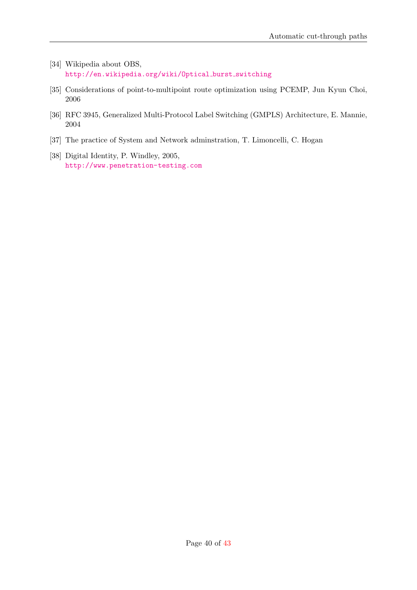- <span id="page-40-0"></span>[34] Wikipedia about OBS, [http://en.wikipedia.org/wiki/Optical](http://en.wikipedia.org/wiki/Optical_burst_switching)\_burst\_switching
- <span id="page-40-1"></span>[35] Considerations of point-to-multipoint route optimization using PCEMP, Jun Kyun Choi, 2006
- <span id="page-40-2"></span>[36] RFC 3945, Generalized Multi-Protocol Label Switching (GMPLS) Architecture, E. Mannie, 2004
- [37] The practice of System and Network adminstration, T. Limoncelli, C. Hogan
- [38] Digital Identity, P. Windley, 2005, <http://www.penetration-testing.com>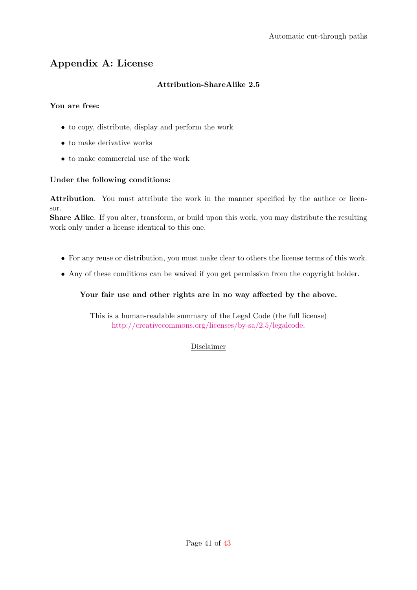# <span id="page-41-0"></span>Appendix A: License

## Attribution-ShareAlike 2.5

### You are free:

- to copy, distribute, display and perform the work
- to make derivative works
- to make commercial use of the work

## Under the following conditions:

Attribution. You must attribute the work in the manner specified by the author or licensor.

Share Alike. If you alter, transform, or build upon this work, you may distribute the resulting work only under a license identical to this one.

- For any reuse or distribution, you must make clear to others the license terms of this work.
- Any of these conditions can be waived if you get permission from the copyright holder.

### Your fair use and other rights are in no way affected by the above.

This is a human-readable summary of the Legal Code (the full license) [http://creativecommons.org/licenses/by-sa/2.5/legalcode.](http://creativecommons.org/licenses/by-sa/2.5/legalcode)

Disclaimer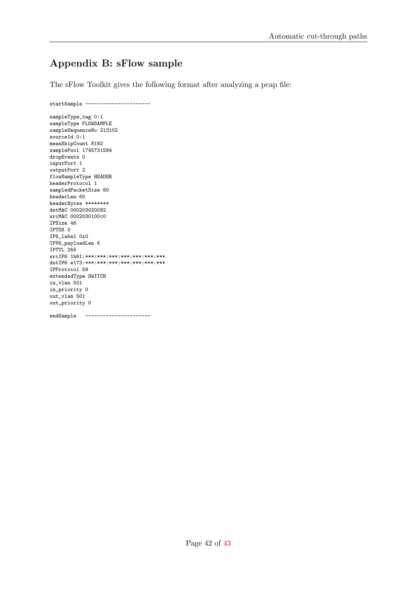# Appendix B: sFlow sample

<span id="page-42-0"></span>The sFlow Toolkit gives the following format after analyzing a pcap file:

startSample --------------------- sampleType\_tag 0:1 sampleType FLOWSAMPLE sampleSequenceNo 213102 sourceId 0:1 meanSkipCount 8192 samplePool 1745731584 dropEvents 0 inputPort 1 outputPort 2 flowSampleType HEADER headerProtocol 1 sampledPacketSize 60 headerLen 60 headerBytes \*\*\*\*\*\*\*\* dstMAC 000203020082 srcMAC 0002030100c0 IPSize 46 IPTOS 0 IP6\_label 0x0 IPV6\_payloadLen 6 IPTTL 255 srcIP6 1b61:\*\*\*:\*\*\*:\*\*\*:\*\*\*:\*\*\*:\*\*\*:\*\*\* dstIP6 e173:\*\*\*:\*\*\*:\*\*\*:\*\*\*:\*\*\*:\*\*\*:\*\*\* IPProtocol 59 extendedType SWITCH in\_vlan 501 in\_priority 0 out\_vlan 501 out\_priority 0

endSample ----------------------